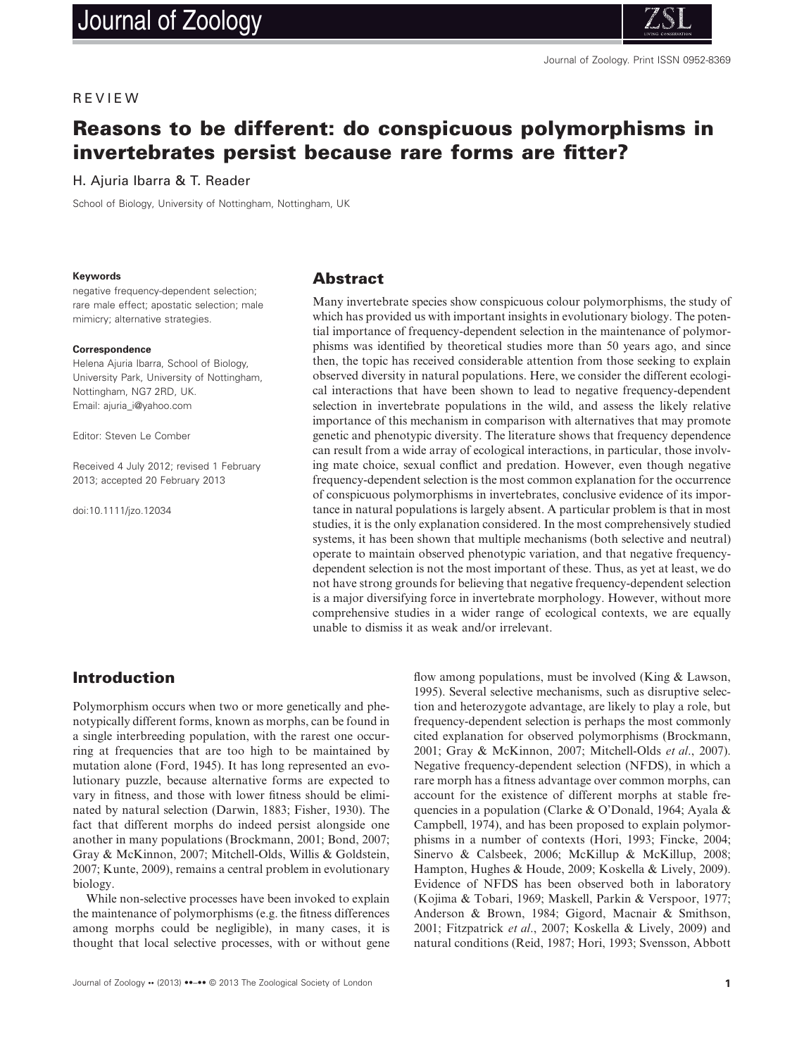

#### REVIEW

# **Reasons to be different: do conspicuous polymorphisms in invertebrates persist because rare forms are fitter?**

### H. Ajuria Ibarra & T. Reader

School of Biology, University of Nottingham, Nottingham, UK

#### **Keywords**

negative frequency-dependent selection; rare male effect; apostatic selection; male mimicry; alternative strategies.

#### **Correspondence**

Helena Ajuria Ibarra, School of Biology, University Park, University of Nottingham, Nottingham, NG7 2RD, UK. Email: ajuria\_i@yahoo.com

Editor: Steven Le Comber

Received 4 July 2012; revised 1 February 2013; accepted 20 February 2013

doi:10.1111/jzo.12034

#### **Abstract**

Many invertebrate species show conspicuous colour polymorphisms, the study of which has provided us with important insights in evolutionary biology. The potential importance of frequency-dependent selection in the maintenance of polymorphisms was identified by theoretical studies more than 50 years ago, and since then, the topic has received considerable attention from those seeking to explain observed diversity in natural populations. Here, we consider the different ecological interactions that have been shown to lead to negative frequency-dependent selection in invertebrate populations in the wild, and assess the likely relative importance of this mechanism in comparison with alternatives that may promote genetic and phenotypic diversity. The literature shows that frequency dependence can result from a wide array of ecological interactions, in particular, those involving mate choice, sexual conflict and predation. However, even though negative frequency-dependent selection is the most common explanation for the occurrence of conspicuous polymorphisms in invertebrates, conclusive evidence of its importance in natural populations is largely absent. A particular problem is that in most studies, it is the only explanation considered. In the most comprehensively studied systems, it has been shown that multiple mechanisms (both selective and neutral) operate to maintain observed phenotypic variation, and that negative frequencydependent selection is not the most important of these. Thus, as yet at least, we do not have strong grounds for believing that negative frequency-dependent selection is a major diversifying force in invertebrate morphology. However, without more comprehensive studies in a wider range of ecological contexts, we are equally unable to dismiss it as weak and/or irrelevant.

## **Introduction**

Polymorphism occurs when two or more genetically and phenotypically different forms, known as morphs, can be found in a single interbreeding population, with the rarest one occurring at frequencies that are too high to be maintained by mutation alone (Ford, 1945). It has long represented an evolutionary puzzle, because alternative forms are expected to vary in fitness, and those with lower fitness should be eliminated by natural selection (Darwin, 1883; Fisher, 1930). The fact that different morphs do indeed persist alongside one another in many populations (Brockmann, 2001; Bond, 2007; Gray & McKinnon, 2007; Mitchell-Olds, Willis & Goldstein, 2007; Kunte, 2009), remains a central problem in evolutionary biology.

While non-selective processes have been invoked to explain the maintenance of polymorphisms (e.g. the fitness differences among morphs could be negligible), in many cases, it is thought that local selective processes, with or without gene

Journal of Zoology **••** (2013) ••–•• © 2013 The Zoological Society of London **1**

flow among populations, must be involved (King & Lawson, 1995). Several selective mechanisms, such as disruptive selection and heterozygote advantage, are likely to play a role, but frequency-dependent selection is perhaps the most commonly cited explanation for observed polymorphisms (Brockmann, 2001; Gray & McKinnon, 2007; Mitchell-Olds *et al*., 2007). Negative frequency-dependent selection (NFDS), in which a rare morph has a fitness advantage over common morphs, can account for the existence of different morphs at stable frequencies in a population (Clarke & O'Donald, 1964; Ayala & Campbell, 1974), and has been proposed to explain polymorphisms in a number of contexts (Hori, 1993; Fincke, 2004; Sinervo & Calsbeek, 2006; McKillup & McKillup, 2008; Hampton, Hughes & Houde, 2009; Koskella & Lively, 2009). Evidence of NFDS has been observed both in laboratory (Kojima & Tobari, 1969; Maskell, Parkin & Verspoor, 1977; Anderson & Brown, 1984; Gigord, Macnair & Smithson, 2001; Fitzpatrick *et al*., 2007; Koskella & Lively, 2009) and natural conditions (Reid, 1987; Hori, 1993; Svensson, Abbott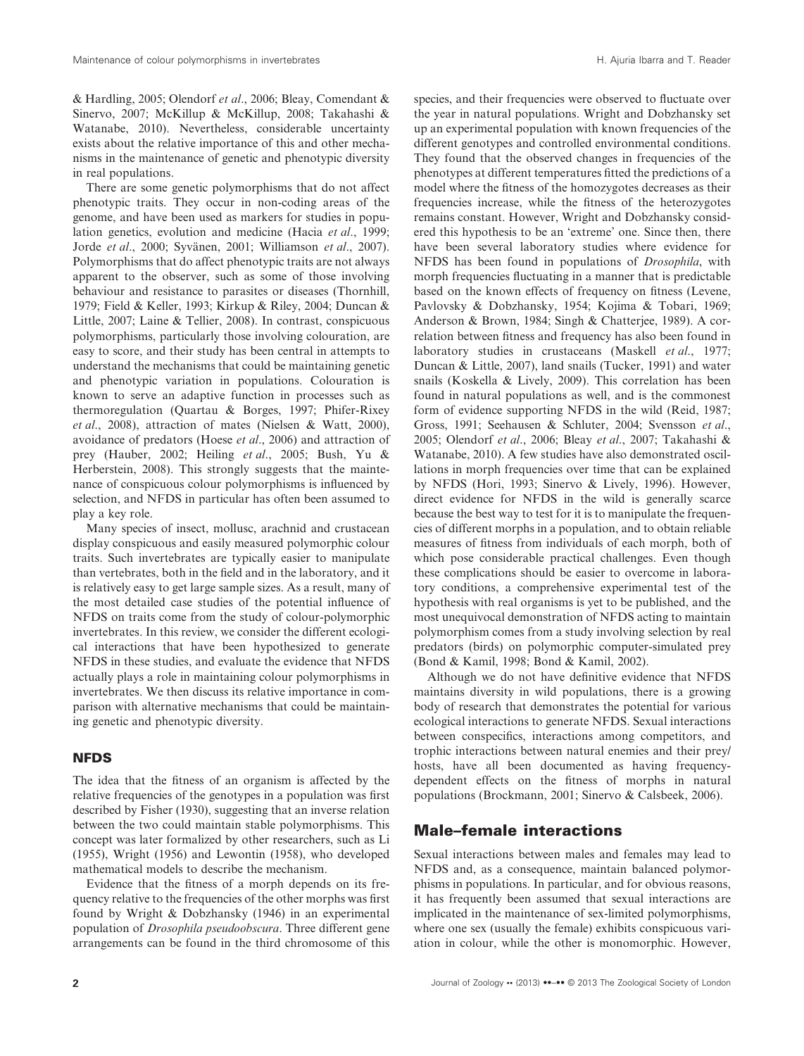& Hardling, 2005; Olendorf *et al*., 2006; Bleay, Comendant & Sinervo, 2007; McKillup & McKillup, 2008; Takahashi & Watanabe, 2010). Nevertheless, considerable uncertainty exists about the relative importance of this and other mechanisms in the maintenance of genetic and phenotypic diversity in real populations.

There are some genetic polymorphisms that do not affect phenotypic traits. They occur in non-coding areas of the genome, and have been used as markers for studies in population genetics, evolution and medicine (Hacia *et al*., 1999; Jorde *et al*., 2000; Syvänen, 2001; Williamson *et al*., 2007). Polymorphisms that do affect phenotypic traits are not always apparent to the observer, such as some of those involving behaviour and resistance to parasites or diseases (Thornhill, 1979; Field & Keller, 1993; Kirkup & Riley, 2004; Duncan & Little, 2007; Laine & Tellier, 2008). In contrast, conspicuous polymorphisms, particularly those involving colouration, are easy to score, and their study has been central in attempts to understand the mechanisms that could be maintaining genetic and phenotypic variation in populations. Colouration is known to serve an adaptive function in processes such as thermoregulation (Quartau & Borges, 1997; Phifer-Rixey *et al*., 2008), attraction of mates (Nielsen & Watt, 2000), avoidance of predators (Hoese *et al*., 2006) and attraction of prey (Hauber, 2002; Heiling *et al*., 2005; Bush, Yu & Herberstein, 2008). This strongly suggests that the maintenance of conspicuous colour polymorphisms is influenced by selection, and NFDS in particular has often been assumed to play a key role.

Many species of insect, mollusc, arachnid and crustacean display conspicuous and easily measured polymorphic colour traits. Such invertebrates are typically easier to manipulate than vertebrates, both in the field and in the laboratory, and it is relatively easy to get large sample sizes. As a result, many of the most detailed case studies of the potential influence of NFDS on traits come from the study of colour-polymorphic invertebrates. In this review, we consider the different ecological interactions that have been hypothesized to generate NFDS in these studies, and evaluate the evidence that NFDS actually plays a role in maintaining colour polymorphisms in invertebrates. We then discuss its relative importance in comparison with alternative mechanisms that could be maintaining genetic and phenotypic diversity.

#### **NFDS**

The idea that the fitness of an organism is affected by the relative frequencies of the genotypes in a population was first described by Fisher (1930), suggesting that an inverse relation between the two could maintain stable polymorphisms. This concept was later formalized by other researchers, such as Li (1955), Wright (1956) and Lewontin (1958), who developed mathematical models to describe the mechanism.

Evidence that the fitness of a morph depends on its frequency relative to the frequencies of the other morphs was first found by Wright & Dobzhansky (1946) in an experimental population of *Drosophila pseudoobscura*. Three different gene arrangements can be found in the third chromosome of this

species, and their frequencies were observed to fluctuate over the year in natural populations. Wright and Dobzhansky set up an experimental population with known frequencies of the different genotypes and controlled environmental conditions. They found that the observed changes in frequencies of the phenotypes at different temperatures fitted the predictions of a model where the fitness of the homozygotes decreases as their frequencies increase, while the fitness of the heterozygotes remains constant. However, Wright and Dobzhansky considered this hypothesis to be an 'extreme' one. Since then, there have been several laboratory studies where evidence for NFDS has been found in populations of *Drosophila*, with morph frequencies fluctuating in a manner that is predictable based on the known effects of frequency on fitness (Levene, Pavlovsky & Dobzhansky, 1954; Kojima & Tobari, 1969; Anderson & Brown, 1984; Singh & Chatterjee, 1989). A correlation between fitness and frequency has also been found in laboratory studies in crustaceans (Maskell *et al*., 1977; Duncan & Little, 2007), land snails (Tucker, 1991) and water snails (Koskella & Lively, 2009). This correlation has been found in natural populations as well, and is the commonest form of evidence supporting NFDS in the wild (Reid, 1987; Gross, 1991; Seehausen & Schluter, 2004; Svensson *et al*., 2005; Olendorf *et al*., 2006; Bleay *et al*., 2007; Takahashi & Watanabe, 2010). A few studies have also demonstrated oscillations in morph frequencies over time that can be explained by NFDS (Hori, 1993; Sinervo & Lively, 1996). However, direct evidence for NFDS in the wild is generally scarce because the best way to test for it is to manipulate the frequencies of different morphs in a population, and to obtain reliable measures of fitness from individuals of each morph, both of which pose considerable practical challenges. Even though these complications should be easier to overcome in laboratory conditions, a comprehensive experimental test of the hypothesis with real organisms is yet to be published, and the most unequivocal demonstration of NFDS acting to maintain polymorphism comes from a study involving selection by real predators (birds) on polymorphic computer-simulated prey (Bond & Kamil, 1998; Bond & Kamil, 2002).

Although we do not have definitive evidence that NFDS maintains diversity in wild populations, there is a growing body of research that demonstrates the potential for various ecological interactions to generate NFDS. Sexual interactions between conspecifics, interactions among competitors, and trophic interactions between natural enemies and their prey/ hosts, have all been documented as having frequencydependent effects on the fitness of morphs in natural populations (Brockmann, 2001; Sinervo & Calsbeek, 2006).

# **Male–female interactions**

Sexual interactions between males and females may lead to NFDS and, as a consequence, maintain balanced polymorphisms in populations. In particular, and for obvious reasons, it has frequently been assumed that sexual interactions are implicated in the maintenance of sex-limited polymorphisms, where one sex (usually the female) exhibits conspicuous variation in colour, while the other is monomorphic. However,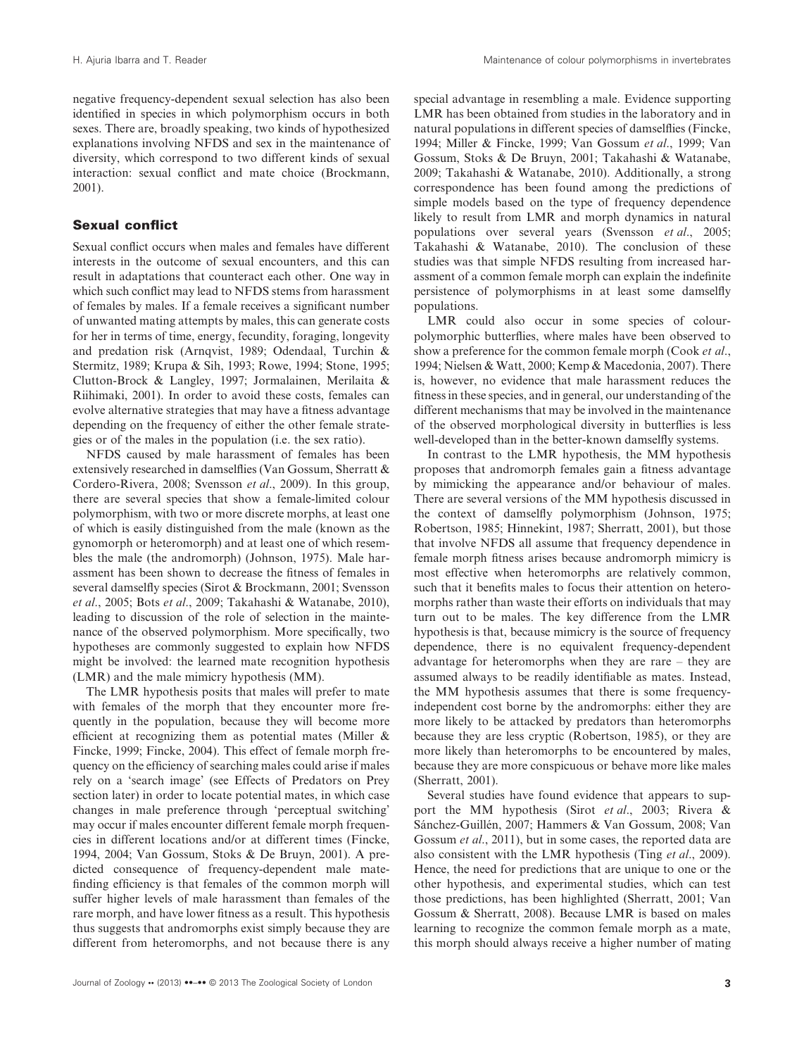negative frequency-dependent sexual selection has also been identified in species in which polymorphism occurs in both sexes. There are, broadly speaking, two kinds of hypothesized explanations involving NFDS and sex in the maintenance of diversity, which correspond to two different kinds of sexual interaction: sexual conflict and mate choice (Brockmann, 2001).

#### **Sexual conflict**

Sexual conflict occurs when males and females have different interests in the outcome of sexual encounters, and this can result in adaptations that counteract each other. One way in which such conflict may lead to NFDS stems from harassment of females by males. If a female receives a significant number of unwanted mating attempts by males, this can generate costs for her in terms of time, energy, fecundity, foraging, longevity and predation risk (Arnqvist, 1989; Odendaal, Turchin & Stermitz, 1989; Krupa & Sih, 1993; Rowe, 1994; Stone, 1995; Clutton-Brock & Langley, 1997; Jormalainen, Merilaita & Riihimaki, 2001). In order to avoid these costs, females can evolve alternative strategies that may have a fitness advantage depending on the frequency of either the other female strategies or of the males in the population (i.e. the sex ratio).

NFDS caused by male harassment of females has been extensively researched in damselflies (Van Gossum, Sherratt & Cordero-Rivera, 2008; Svensson *et al*., 2009). In this group, there are several species that show a female-limited colour polymorphism, with two or more discrete morphs, at least one of which is easily distinguished from the male (known as the gynomorph or heteromorph) and at least one of which resembles the male (the andromorph) (Johnson, 1975). Male harassment has been shown to decrease the fitness of females in several damselfly species (Sirot & Brockmann, 2001; Svensson *et al*., 2005; Bots *et al*., 2009; Takahashi & Watanabe, 2010), leading to discussion of the role of selection in the maintenance of the observed polymorphism. More specifically, two hypotheses are commonly suggested to explain how NFDS might be involved: the learned mate recognition hypothesis (LMR) and the male mimicry hypothesis (MM).

The LMR hypothesis posits that males will prefer to mate with females of the morph that they encounter more frequently in the population, because they will become more efficient at recognizing them as potential mates (Miller & Fincke, 1999; Fincke, 2004). This effect of female morph frequency on the efficiency of searching males could arise if males rely on a 'search image' (see Effects of Predators on Prey section later) in order to locate potential mates, in which case changes in male preference through 'perceptual switching' may occur if males encounter different female morph frequencies in different locations and/or at different times (Fincke, 1994, 2004; Van Gossum, Stoks & De Bruyn, 2001). A predicted consequence of frequency-dependent male matefinding efficiency is that females of the common morph will suffer higher levels of male harassment than females of the rare morph, and have lower fitness as a result. This hypothesis thus suggests that andromorphs exist simply because they are different from heteromorphs, and not because there is any

special advantage in resembling a male. Evidence supporting LMR has been obtained from studies in the laboratory and in natural populations in different species of damselflies (Fincke, 1994; Miller & Fincke, 1999; Van Gossum *et al*., 1999; Van Gossum, Stoks & De Bruyn, 2001; Takahashi & Watanabe, 2009; Takahashi & Watanabe, 2010). Additionally, a strong correspondence has been found among the predictions of simple models based on the type of frequency dependence likely to result from LMR and morph dynamics in natural populations over several years (Svensson *et al*., 2005; Takahashi & Watanabe, 2010). The conclusion of these studies was that simple NFDS resulting from increased harassment of a common female morph can explain the indefinite persistence of polymorphisms in at least some damselfly populations.

LMR could also occur in some species of colourpolymorphic butterflies, where males have been observed to show a preference for the common female morph (Cook *et al*., 1994; Nielsen & Watt, 2000; Kemp & Macedonia, 2007). There is, however, no evidence that male harassment reduces the fitness in these species, and in general, our understanding of the different mechanisms that may be involved in the maintenance of the observed morphological diversity in butterflies is less well-developed than in the better-known damselfly systems.

In contrast to the LMR hypothesis, the MM hypothesis proposes that andromorph females gain a fitness advantage by mimicking the appearance and/or behaviour of males. There are several versions of the MM hypothesis discussed in the context of damselfly polymorphism (Johnson, 1975; Robertson, 1985; Hinnekint, 1987; Sherratt, 2001), but those that involve NFDS all assume that frequency dependence in female morph fitness arises because andromorph mimicry is most effective when heteromorphs are relatively common, such that it benefits males to focus their attention on heteromorphs rather than waste their efforts on individuals that may turn out to be males. The key difference from the LMR hypothesis is that, because mimicry is the source of frequency dependence, there is no equivalent frequency-dependent advantage for heteromorphs when they are rare – they are assumed always to be readily identifiable as mates. Instead, the MM hypothesis assumes that there is some frequencyindependent cost borne by the andromorphs: either they are more likely to be attacked by predators than heteromorphs because they are less cryptic (Robertson, 1985), or they are more likely than heteromorphs to be encountered by males, because they are more conspicuous or behave more like males (Sherratt, 2001).

Several studies have found evidence that appears to support the MM hypothesis (Sirot *et al*., 2003; Rivera & Sánchez-Guillén, 2007; Hammers & Van Gossum, 2008; Van Gossum *et al*., 2011), but in some cases, the reported data are also consistent with the LMR hypothesis (Ting *et al*., 2009). Hence, the need for predictions that are unique to one or the other hypothesis, and experimental studies, which can test those predictions, has been highlighted (Sherratt, 2001; Van Gossum & Sherratt, 2008). Because LMR is based on males learning to recognize the common female morph as a mate, this morph should always receive a higher number of mating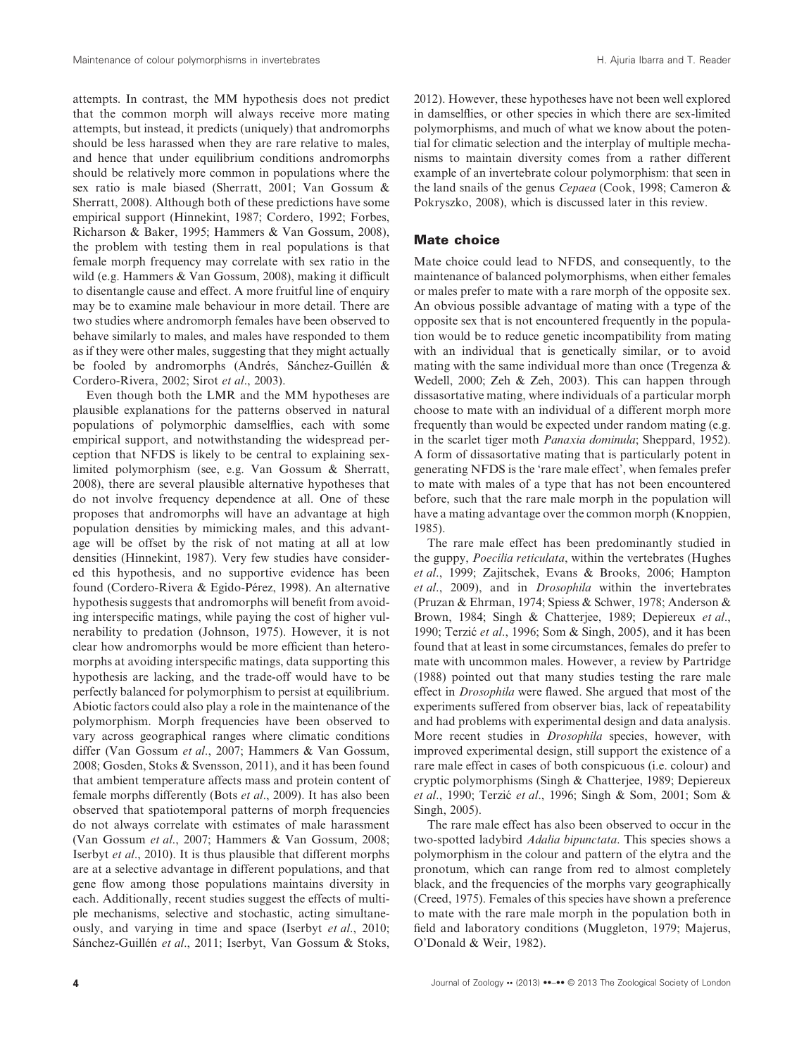attempts. In contrast, the MM hypothesis does not predict that the common morph will always receive more mating attempts, but instead, it predicts (uniquely) that andromorphs should be less harassed when they are rare relative to males, and hence that under equilibrium conditions andromorphs should be relatively more common in populations where the sex ratio is male biased (Sherratt, 2001; Van Gossum & Sherratt, 2008). Although both of these predictions have some empirical support (Hinnekint, 1987; Cordero, 1992; Forbes, Richarson & Baker, 1995; Hammers & Van Gossum, 2008), the problem with testing them in real populations is that female morph frequency may correlate with sex ratio in the wild (e.g. Hammers & Van Gossum, 2008), making it difficult to disentangle cause and effect. A more fruitful line of enquiry may be to examine male behaviour in more detail. There are two studies where andromorph females have been observed to behave similarly to males, and males have responded to them as if they were other males, suggesting that they might actually be fooled by andromorphs (Andrés, Sánchez-Guillén & Cordero-Rivera, 2002; Sirot *et al*., 2003).

Even though both the LMR and the MM hypotheses are plausible explanations for the patterns observed in natural populations of polymorphic damselflies, each with some empirical support, and notwithstanding the widespread perception that NFDS is likely to be central to explaining sexlimited polymorphism (see, e.g. Van Gossum & Sherratt, 2008), there are several plausible alternative hypotheses that do not involve frequency dependence at all. One of these proposes that andromorphs will have an advantage at high population densities by mimicking males, and this advantage will be offset by the risk of not mating at all at low densities (Hinnekint, 1987). Very few studies have considered this hypothesis, and no supportive evidence has been found (Cordero-Rivera & Egido-Pérez, 1998). An alternative hypothesis suggests that andromorphs will benefit from avoiding interspecific matings, while paying the cost of higher vulnerability to predation (Johnson, 1975). However, it is not clear how andromorphs would be more efficient than heteromorphs at avoiding interspecific matings, data supporting this hypothesis are lacking, and the trade-off would have to be perfectly balanced for polymorphism to persist at equilibrium. Abiotic factors could also play a role in the maintenance of the polymorphism. Morph frequencies have been observed to vary across geographical ranges where climatic conditions differ (Van Gossum *et al*., 2007; Hammers & Van Gossum, 2008; Gosden, Stoks & Svensson, 2011), and it has been found that ambient temperature affects mass and protein content of female morphs differently (Bots *et al*., 2009). It has also been observed that spatiotemporal patterns of morph frequencies do not always correlate with estimates of male harassment (Van Gossum *et al*., 2007; Hammers & Van Gossum, 2008; Iserbyt *et al*., 2010). It is thus plausible that different morphs are at a selective advantage in different populations, and that gene flow among those populations maintains diversity in each. Additionally, recent studies suggest the effects of multiple mechanisms, selective and stochastic, acting simultaneously, and varying in time and space (Iserbyt *et al*., 2010; Sánchez-Guillén *et al*., 2011; Iserbyt, Van Gossum & Stoks,

2012). However, these hypotheses have not been well explored in damselflies, or other species in which there are sex-limited polymorphisms, and much of what we know about the potential for climatic selection and the interplay of multiple mechanisms to maintain diversity comes from a rather different example of an invertebrate colour polymorphism: that seen in the land snails of the genus *Cepaea* (Cook, 1998; Cameron & Pokryszko, 2008), which is discussed later in this review.

#### **Mate choice**

Mate choice could lead to NFDS, and consequently, to the maintenance of balanced polymorphisms, when either females or males prefer to mate with a rare morph of the opposite sex. An obvious possible advantage of mating with a type of the opposite sex that is not encountered frequently in the population would be to reduce genetic incompatibility from mating with an individual that is genetically similar, or to avoid mating with the same individual more than once (Tregenza & Wedell, 2000; Zeh & Zeh, 2003). This can happen through dissasortative mating, where individuals of a particular morph choose to mate with an individual of a different morph more frequently than would be expected under random mating (e.g. in the scarlet tiger moth *Panaxia dominula*; Sheppard, 1952). A form of dissasortative mating that is particularly potent in generating NFDS is the 'rare male effect', when females prefer to mate with males of a type that has not been encountered before, such that the rare male morph in the population will have a mating advantage over the common morph (Knoppien, 1985).

The rare male effect has been predominantly studied in the guppy, *Poecilia reticulata*, within the vertebrates (Hughes *et al*., 1999; Zajitschek, Evans & Brooks, 2006; Hampton *et al*., 2009), and in *Drosophila* within the invertebrates (Pruzan & Ehrman, 1974; Spiess & Schwer, 1978; Anderson & Brown, 1984; Singh & Chatterjee, 1989; Depiereux *et al*., 1990; Terzic´ *et al*., 1996; Som & Singh, 2005), and it has been found that at least in some circumstances, females do prefer to mate with uncommon males. However, a review by Partridge (1988) pointed out that many studies testing the rare male effect in *Drosophila* were flawed. She argued that most of the experiments suffered from observer bias, lack of repeatability and had problems with experimental design and data analysis. More recent studies in *Drosophila* species, however, with improved experimental design, still support the existence of a rare male effect in cases of both conspicuous (i.e. colour) and cryptic polymorphisms (Singh & Chatterjee, 1989; Depiereux *et al*., 1990; Terzic´ *et al*., 1996; Singh & Som, 2001; Som & Singh, 2005).

The rare male effect has also been observed to occur in the two-spotted ladybird *Adalia bipunctata*. This species shows a polymorphism in the colour and pattern of the elytra and the pronotum, which can range from red to almost completely black, and the frequencies of the morphs vary geographically (Creed, 1975). Females of this species have shown a preference to mate with the rare male morph in the population both in field and laboratory conditions (Muggleton, 1979; Majerus, O'Donald & Weir, 1982).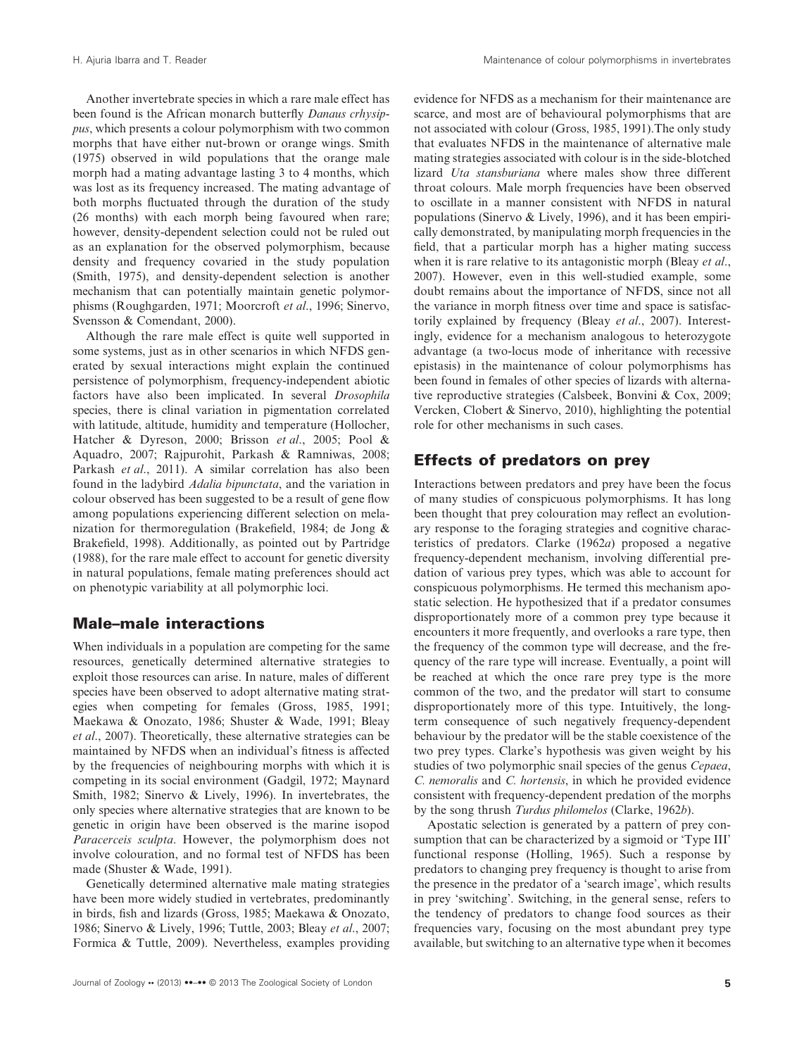Another invertebrate species in which a rare male effect has been found is the African monarch butterfly *Danaus crhysippus*, which presents a colour polymorphism with two common morphs that have either nut-brown or orange wings. Smith (1975) observed in wild populations that the orange male morph had a mating advantage lasting 3 to 4 months, which was lost as its frequency increased. The mating advantage of both morphs fluctuated through the duration of the study (26 months) with each morph being favoured when rare; however, density-dependent selection could not be ruled out as an explanation for the observed polymorphism, because density and frequency covaried in the study population (Smith, 1975), and density-dependent selection is another mechanism that can potentially maintain genetic polymorphisms (Roughgarden, 1971; Moorcroft *et al*., 1996; Sinervo, Svensson & Comendant, 2000).

Although the rare male effect is quite well supported in some systems, just as in other scenarios in which NFDS generated by sexual interactions might explain the continued persistence of polymorphism, frequency-independent abiotic factors have also been implicated. In several *Drosophila* species, there is clinal variation in pigmentation correlated with latitude, altitude, humidity and temperature (Hollocher, Hatcher & Dyreson, 2000; Brisson *et al*., 2005; Pool & Aquadro, 2007; Rajpurohit, Parkash & Ramniwas, 2008; Parkash *et al*., 2011). A similar correlation has also been found in the ladybird *Adalia bipunctata*, and the variation in colour observed has been suggested to be a result of gene flow among populations experiencing different selection on melanization for thermoregulation (Brakefield, 1984; de Jong & Brakefield, 1998). Additionally, as pointed out by Partridge (1988), for the rare male effect to account for genetic diversity in natural populations, female mating preferences should act on phenotypic variability at all polymorphic loci.

## **Male–male interactions**

When individuals in a population are competing for the same resources, genetically determined alternative strategies to exploit those resources can arise. In nature, males of different species have been observed to adopt alternative mating strategies when competing for females (Gross, 1985, 1991; Maekawa & Onozato, 1986; Shuster & Wade, 1991; Bleay *et al*., 2007). Theoretically, these alternative strategies can be maintained by NFDS when an individual's fitness is affected by the frequencies of neighbouring morphs with which it is competing in its social environment (Gadgil, 1972; Maynard Smith, 1982; Sinervo & Lively, 1996). In invertebrates, the only species where alternative strategies that are known to be genetic in origin have been observed is the marine isopod *Paracerceis sculpta*. However, the polymorphism does not involve colouration, and no formal test of NFDS has been made (Shuster & Wade, 1991).

Genetically determined alternative male mating strategies have been more widely studied in vertebrates, predominantly in birds, fish and lizards (Gross, 1985; Maekawa & Onozato, 1986; Sinervo & Lively, 1996; Tuttle, 2003; Bleay *et al*., 2007; Formica & Tuttle, 2009). Nevertheless, examples providing evidence for NFDS as a mechanism for their maintenance are scarce, and most are of behavioural polymorphisms that are not associated with colour (Gross, 1985, 1991).The only study that evaluates NFDS in the maintenance of alternative male mating strategies associated with colour is in the side-blotched lizard *Uta stansburiana* where males show three different throat colours. Male morph frequencies have been observed to oscillate in a manner consistent with NFDS in natural populations (Sinervo & Lively, 1996), and it has been empirically demonstrated, by manipulating morph frequencies in the field, that a particular morph has a higher mating success when it is rare relative to its antagonistic morph (Bleay *et al*., 2007). However, even in this well-studied example, some doubt remains about the importance of NFDS, since not all the variance in morph fitness over time and space is satisfactorily explained by frequency (Bleay *et al*., 2007). Interestingly, evidence for a mechanism analogous to heterozygote advantage (a two-locus mode of inheritance with recessive epistasis) in the maintenance of colour polymorphisms has been found in females of other species of lizards with alternative reproductive strategies (Calsbeek, Bonvini & Cox, 2009; Vercken, Clobert & Sinervo, 2010), highlighting the potential role for other mechanisms in such cases.

# **Effects of predators on prey**

Interactions between predators and prey have been the focus of many studies of conspicuous polymorphisms. It has long been thought that prey colouration may reflect an evolutionary response to the foraging strategies and cognitive characteristics of predators. Clarke (1962*a*) proposed a negative frequency-dependent mechanism, involving differential predation of various prey types, which was able to account for conspicuous polymorphisms. He termed this mechanism apostatic selection. He hypothesized that if a predator consumes disproportionately more of a common prey type because it encounters it more frequently, and overlooks a rare type, then the frequency of the common type will decrease, and the frequency of the rare type will increase. Eventually, a point will be reached at which the once rare prey type is the more common of the two, and the predator will start to consume disproportionately more of this type. Intuitively, the longterm consequence of such negatively frequency-dependent behaviour by the predator will be the stable coexistence of the two prey types. Clarke's hypothesis was given weight by his studies of two polymorphic snail species of the genus *Cepaea*, *C. nemoralis* and *C. hortensis*, in which he provided evidence consistent with frequency-dependent predation of the morphs by the song thrush *Turdus philomelos* (Clarke, 1962*b*).

Apostatic selection is generated by a pattern of prey consumption that can be characterized by a sigmoid or 'Type III' functional response (Holling, 1965). Such a response by predators to changing prey frequency is thought to arise from the presence in the predator of a 'search image', which results in prey 'switching'. Switching, in the general sense, refers to the tendency of predators to change food sources as their frequencies vary, focusing on the most abundant prey type available, but switching to an alternative type when it becomes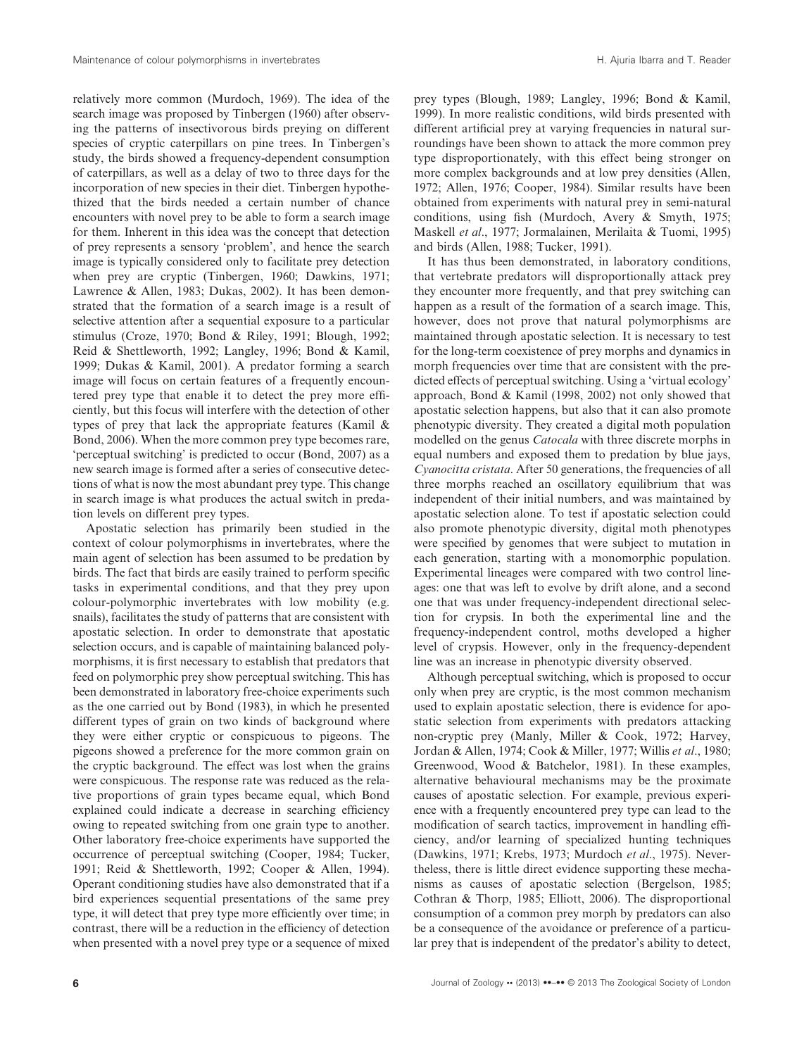relatively more common (Murdoch, 1969). The idea of the search image was proposed by Tinbergen (1960) after observing the patterns of insectivorous birds preying on different species of cryptic caterpillars on pine trees. In Tinbergen's study, the birds showed a frequency-dependent consumption of caterpillars, as well as a delay of two to three days for the incorporation of new species in their diet. Tinbergen hypothethized that the birds needed a certain number of chance encounters with novel prey to be able to form a search image for them. Inherent in this idea was the concept that detection of prey represents a sensory 'problem', and hence the search image is typically considered only to facilitate prey detection when prey are cryptic (Tinbergen, 1960; Dawkins, 1971; Lawrence & Allen, 1983; Dukas, 2002). It has been demonstrated that the formation of a search image is a result of selective attention after a sequential exposure to a particular stimulus (Croze, 1970; Bond & Riley, 1991; Blough, 1992; Reid & Shettleworth, 1992; Langley, 1996; Bond & Kamil, 1999; Dukas & Kamil, 2001). A predator forming a search image will focus on certain features of a frequently encountered prey type that enable it to detect the prey more efficiently, but this focus will interfere with the detection of other types of prey that lack the appropriate features (Kamil & Bond, 2006). When the more common prey type becomes rare, 'perceptual switching' is predicted to occur (Bond, 2007) as a new search image is formed after a series of consecutive detections of what is now the most abundant prey type. This change in search image is what produces the actual switch in predation levels on different prey types.

Apostatic selection has primarily been studied in the context of colour polymorphisms in invertebrates, where the main agent of selection has been assumed to be predation by birds. The fact that birds are easily trained to perform specific tasks in experimental conditions, and that they prey upon colour-polymorphic invertebrates with low mobility (e.g. snails), facilitates the study of patterns that are consistent with apostatic selection. In order to demonstrate that apostatic selection occurs, and is capable of maintaining balanced polymorphisms, it is first necessary to establish that predators that feed on polymorphic prey show perceptual switching. This has been demonstrated in laboratory free-choice experiments such as the one carried out by Bond (1983), in which he presented different types of grain on two kinds of background where they were either cryptic or conspicuous to pigeons. The pigeons showed a preference for the more common grain on the cryptic background. The effect was lost when the grains were conspicuous. The response rate was reduced as the relative proportions of grain types became equal, which Bond explained could indicate a decrease in searching efficiency owing to repeated switching from one grain type to another. Other laboratory free-choice experiments have supported the occurrence of perceptual switching (Cooper, 1984; Tucker, 1991; Reid & Shettleworth, 1992; Cooper & Allen, 1994). Operant conditioning studies have also demonstrated that if a bird experiences sequential presentations of the same prey type, it will detect that prey type more efficiently over time; in contrast, there will be a reduction in the efficiency of detection when presented with a novel prey type or a sequence of mixed

prey types (Blough, 1989; Langley, 1996; Bond & Kamil, 1999). In more realistic conditions, wild birds presented with different artificial prey at varying frequencies in natural surroundings have been shown to attack the more common prey type disproportionately, with this effect being stronger on more complex backgrounds and at low prey densities (Allen, 1972; Allen, 1976; Cooper, 1984). Similar results have been obtained from experiments with natural prey in semi-natural conditions, using fish (Murdoch, Avery & Smyth, 1975; Maskell *et al*., 1977; Jormalainen, Merilaita & Tuomi, 1995) and birds (Allen, 1988; Tucker, 1991).

It has thus been demonstrated, in laboratory conditions, that vertebrate predators will disproportionally attack prey they encounter more frequently, and that prey switching can happen as a result of the formation of a search image. This, however, does not prove that natural polymorphisms are maintained through apostatic selection. It is necessary to test for the long-term coexistence of prey morphs and dynamics in morph frequencies over time that are consistent with the predicted effects of perceptual switching. Using a 'virtual ecology' approach, Bond & Kamil (1998, 2002) not only showed that apostatic selection happens, but also that it can also promote phenotypic diversity. They created a digital moth population modelled on the genus *Catocala* with three discrete morphs in equal numbers and exposed them to predation by blue jays, *Cyanocitta cristata*. After 50 generations, the frequencies of all three morphs reached an oscillatory equilibrium that was independent of their initial numbers, and was maintained by apostatic selection alone. To test if apostatic selection could also promote phenotypic diversity, digital moth phenotypes were specified by genomes that were subject to mutation in each generation, starting with a monomorphic population. Experimental lineages were compared with two control lineages: one that was left to evolve by drift alone, and a second one that was under frequency-independent directional selection for crypsis. In both the experimental line and the frequency-independent control, moths developed a higher level of crypsis. However, only in the frequency-dependent line was an increase in phenotypic diversity observed.

Although perceptual switching, which is proposed to occur only when prey are cryptic, is the most common mechanism used to explain apostatic selection, there is evidence for apostatic selection from experiments with predators attacking non-cryptic prey (Manly, Miller & Cook, 1972; Harvey, Jordan & Allen, 1974; Cook & Miller, 1977; Willis *et al*., 1980; Greenwood, Wood & Batchelor, 1981). In these examples, alternative behavioural mechanisms may be the proximate causes of apostatic selection. For example, previous experience with a frequently encountered prey type can lead to the modification of search tactics, improvement in handling efficiency, and/or learning of specialized hunting techniques (Dawkins, 1971; Krebs, 1973; Murdoch *et al*., 1975). Nevertheless, there is little direct evidence supporting these mechanisms as causes of apostatic selection (Bergelson, 1985; Cothran & Thorp, 1985; Elliott, 2006). The disproportional consumption of a common prey morph by predators can also be a consequence of the avoidance or preference of a particular prey that is independent of the predator's ability to detect,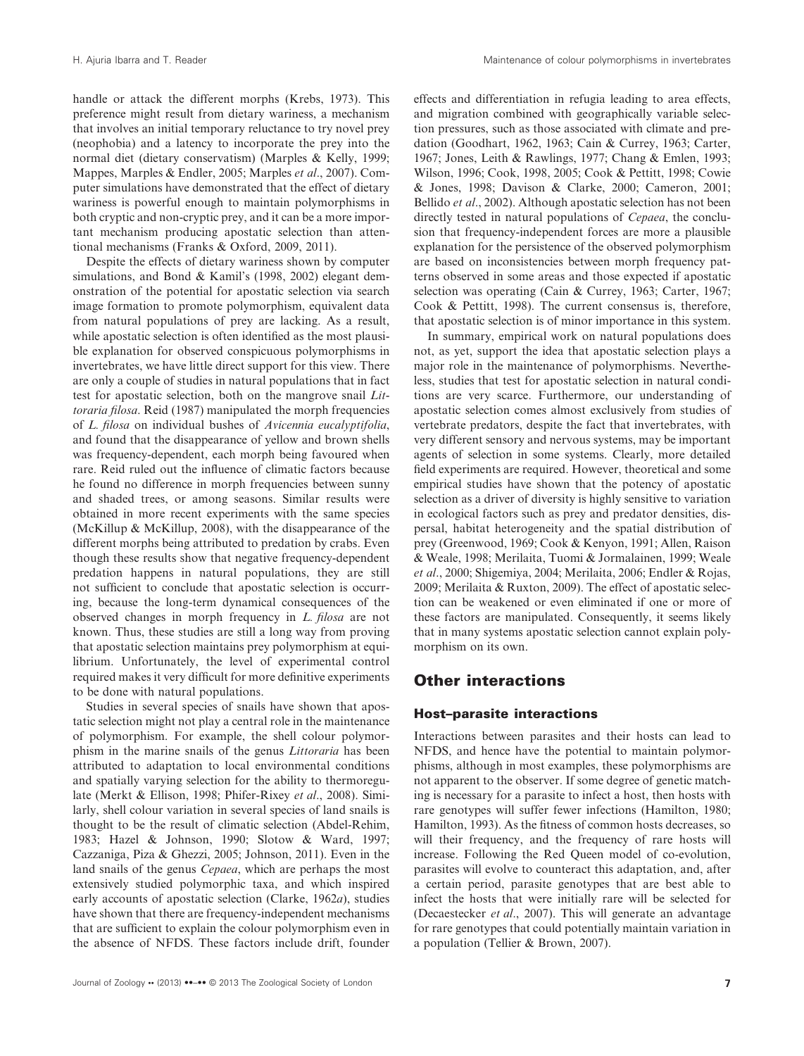handle or attack the different morphs (Krebs, 1973). This preference might result from dietary wariness, a mechanism that involves an initial temporary reluctance to try novel prey (neophobia) and a latency to incorporate the prey into the normal diet (dietary conservatism) (Marples & Kelly, 1999; Mappes, Marples & Endler, 2005; Marples *et al*., 2007). Computer simulations have demonstrated that the effect of dietary wariness is powerful enough to maintain polymorphisms in both cryptic and non-cryptic prey, and it can be a more important mechanism producing apostatic selection than attentional mechanisms (Franks & Oxford, 2009, 2011).

Despite the effects of dietary wariness shown by computer simulations, and Bond & Kamil's (1998, 2002) elegant demonstration of the potential for apostatic selection via search image formation to promote polymorphism, equivalent data from natural populations of prey are lacking. As a result, while apostatic selection is often identified as the most plausible explanation for observed conspicuous polymorphisms in invertebrates, we have little direct support for this view. There are only a couple of studies in natural populations that in fact test for apostatic selection, both on the mangrove snail *Littoraria filosa*. Reid (1987) manipulated the morph frequencies of *L. filosa* on individual bushes of *Avicennia eucalyptifolia*, and found that the disappearance of yellow and brown shells was frequency-dependent, each morph being favoured when rare. Reid ruled out the influence of climatic factors because he found no difference in morph frequencies between sunny and shaded trees, or among seasons. Similar results were obtained in more recent experiments with the same species (McKillup & McKillup, 2008), with the disappearance of the different morphs being attributed to predation by crabs. Even though these results show that negative frequency-dependent predation happens in natural populations, they are still not sufficient to conclude that apostatic selection is occurring, because the long-term dynamical consequences of the observed changes in morph frequency in *L. filosa* are not known. Thus, these studies are still a long way from proving that apostatic selection maintains prey polymorphism at equilibrium. Unfortunately, the level of experimental control required makes it very difficult for more definitive experiments to be done with natural populations.

Studies in several species of snails have shown that apostatic selection might not play a central role in the maintenance of polymorphism. For example, the shell colour polymorphism in the marine snails of the genus *Littoraria* has been attributed to adaptation to local environmental conditions and spatially varying selection for the ability to thermoregulate (Merkt & Ellison, 1998; Phifer-Rixey *et al*., 2008). Similarly, shell colour variation in several species of land snails is thought to be the result of climatic selection (Abdel-Rehim, 1983; Hazel & Johnson, 1990; Slotow & Ward, 1997; Cazzaniga, Piza & Ghezzi, 2005; Johnson, 2011). Even in the land snails of the genus *Cepaea*, which are perhaps the most extensively studied polymorphic taxa, and which inspired early accounts of apostatic selection (Clarke, 1962*a*), studies have shown that there are frequency-independent mechanisms that are sufficient to explain the colour polymorphism even in the absence of NFDS. These factors include drift, founder

effects and differentiation in refugia leading to area effects, and migration combined with geographically variable selection pressures, such as those associated with climate and predation (Goodhart, 1962, 1963; Cain & Currey, 1963; Carter, 1967; Jones, Leith & Rawlings, 1977; Chang & Emlen, 1993; Wilson, 1996; Cook, 1998, 2005; Cook & Pettitt, 1998; Cowie & Jones, 1998; Davison & Clarke, 2000; Cameron, 2001; Bellido *et al*., 2002). Although apostatic selection has not been directly tested in natural populations of *Cepaea*, the conclusion that frequency-independent forces are more a plausible explanation for the persistence of the observed polymorphism are based on inconsistencies between morph frequency patterns observed in some areas and those expected if apostatic selection was operating (Cain & Currey, 1963; Carter, 1967; Cook & Pettitt, 1998). The current consensus is, therefore, that apostatic selection is of minor importance in this system.

In summary, empirical work on natural populations does not, as yet, support the idea that apostatic selection plays a major role in the maintenance of polymorphisms. Nevertheless, studies that test for apostatic selection in natural conditions are very scarce. Furthermore, our understanding of apostatic selection comes almost exclusively from studies of vertebrate predators, despite the fact that invertebrates, with very different sensory and nervous systems, may be important agents of selection in some systems. Clearly, more detailed field experiments are required. However, theoretical and some empirical studies have shown that the potency of apostatic selection as a driver of diversity is highly sensitive to variation in ecological factors such as prey and predator densities, dispersal, habitat heterogeneity and the spatial distribution of prey (Greenwood, 1969; Cook & Kenyon, 1991; Allen, Raison & Weale, 1998; Merilaita, Tuomi & Jormalainen, 1999; Weale *et al*., 2000; Shigemiya, 2004; Merilaita, 2006; Endler & Rojas, 2009; Merilaita & Ruxton, 2009). The effect of apostatic selection can be weakened or even eliminated if one or more of these factors are manipulated. Consequently, it seems likely that in many systems apostatic selection cannot explain polymorphism on its own.

## **Other interactions**

#### **Host–parasite interactions**

Interactions between parasites and their hosts can lead to NFDS, and hence have the potential to maintain polymorphisms, although in most examples, these polymorphisms are not apparent to the observer. If some degree of genetic matching is necessary for a parasite to infect a host, then hosts with rare genotypes will suffer fewer infections (Hamilton, 1980; Hamilton, 1993). As the fitness of common hosts decreases, so will their frequency, and the frequency of rare hosts will increase. Following the Red Queen model of co-evolution, parasites will evolve to counteract this adaptation, and, after a certain period, parasite genotypes that are best able to infect the hosts that were initially rare will be selected for (Decaestecker *et al*., 2007). This will generate an advantage for rare genotypes that could potentially maintain variation in a population (Tellier & Brown, 2007).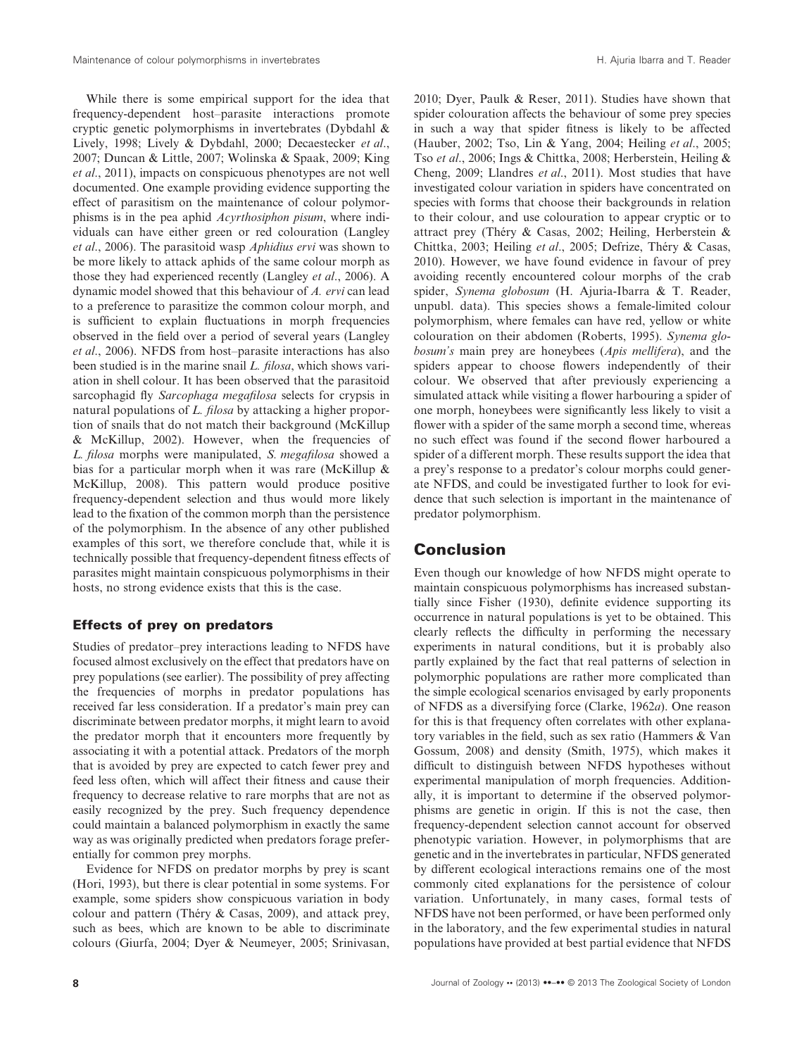While there is some empirical support for the idea that frequency-dependent host–parasite interactions promote cryptic genetic polymorphisms in invertebrates (Dybdahl & Lively, 1998; Lively & Dybdahl, 2000; Decaestecker *et al*., 2007; Duncan & Little, 2007; Wolinska & Spaak, 2009; King *et al*., 2011), impacts on conspicuous phenotypes are not well documented. One example providing evidence supporting the effect of parasitism on the maintenance of colour polymorphisms is in the pea aphid *Acyrthosiphon pisum*, where individuals can have either green or red colouration (Langley *et al*., 2006). The parasitoid wasp *Aphidius ervi* was shown to be more likely to attack aphids of the same colour morph as those they had experienced recently (Langley *et al*., 2006). A dynamic model showed that this behaviour of *A. ervi* can lead to a preference to parasitize the common colour morph, and is sufficient to explain fluctuations in morph frequencies observed in the field over a period of several years (Langley *et al*., 2006). NFDS from host–parasite interactions has also been studied is in the marine snail *L. filosa*, which shows variation in shell colour. It has been observed that the parasitoid sarcophagid fly *Sarcophaga megafilosa* selects for crypsis in natural populations of *L. filosa* by attacking a higher proportion of snails that do not match their background (McKillup & McKillup, 2002). However, when the frequencies of *L. filosa* morphs were manipulated, *S. megafilosa* showed a bias for a particular morph when it was rare (McKillup & McKillup, 2008). This pattern would produce positive frequency-dependent selection and thus would more likely lead to the fixation of the common morph than the persistence of the polymorphism. In the absence of any other published examples of this sort, we therefore conclude that, while it is technically possible that frequency-dependent fitness effects of parasites might maintain conspicuous polymorphisms in their hosts, no strong evidence exists that this is the case.

#### **Effects of prey on predators**

Studies of predator–prey interactions leading to NFDS have focused almost exclusively on the effect that predators have on prey populations (see earlier). The possibility of prey affecting the frequencies of morphs in predator populations has received far less consideration. If a predator's main prey can discriminate between predator morphs, it might learn to avoid the predator morph that it encounters more frequently by associating it with a potential attack. Predators of the morph that is avoided by prey are expected to catch fewer prey and feed less often, which will affect their fitness and cause their frequency to decrease relative to rare morphs that are not as easily recognized by the prey. Such frequency dependence could maintain a balanced polymorphism in exactly the same way as was originally predicted when predators forage preferentially for common prey morphs.

Evidence for NFDS on predator morphs by prey is scant (Hori, 1993), but there is clear potential in some systems. For example, some spiders show conspicuous variation in body colour and pattern (Théry & Casas, 2009), and attack prey, such as bees, which are known to be able to discriminate colours (Giurfa, 2004; Dyer & Neumeyer, 2005; Srinivasan,

2010; Dyer, Paulk & Reser, 2011). Studies have shown that spider colouration affects the behaviour of some prey species in such a way that spider fitness is likely to be affected (Hauber, 2002; Tso, Lin & Yang, 2004; Heiling *et al*., 2005; Tso *et al*., 2006; Ings & Chittka, 2008; Herberstein, Heiling & Cheng, 2009; Llandres *et al*., 2011). Most studies that have investigated colour variation in spiders have concentrated on species with forms that choose their backgrounds in relation to their colour, and use colouration to appear cryptic or to attract prey (Théry & Casas, 2002; Heiling, Herberstein & Chittka, 2003; Heiling *et al*., 2005; Defrize, Théry & Casas, 2010). However, we have found evidence in favour of prey avoiding recently encountered colour morphs of the crab spider, *Synema globosum* (H. Ajuria-Ibarra & T. Reader, unpubl. data). This species shows a female-limited colour polymorphism, where females can have red, yellow or white colouration on their abdomen (Roberts, 1995). *Synema globosum's* main prey are honeybees (*Apis mellifera*), and the spiders appear to choose flowers independently of their colour. We observed that after previously experiencing a simulated attack while visiting a flower harbouring a spider of one morph, honeybees were significantly less likely to visit a flower with a spider of the same morph a second time, whereas no such effect was found if the second flower harboured a spider of a different morph. These results support the idea that a prey's response to a predator's colour morphs could generate NFDS, and could be investigated further to look for evidence that such selection is important in the maintenance of predator polymorphism.

## **Conclusion**

Even though our knowledge of how NFDS might operate to maintain conspicuous polymorphisms has increased substantially since Fisher (1930), definite evidence supporting its occurrence in natural populations is yet to be obtained. This clearly reflects the difficulty in performing the necessary experiments in natural conditions, but it is probably also partly explained by the fact that real patterns of selection in polymorphic populations are rather more complicated than the simple ecological scenarios envisaged by early proponents of NFDS as a diversifying force (Clarke, 1962*a*). One reason for this is that frequency often correlates with other explanatory variables in the field, such as sex ratio (Hammers & Van Gossum, 2008) and density (Smith, 1975), which makes it difficult to distinguish between NFDS hypotheses without experimental manipulation of morph frequencies. Additionally, it is important to determine if the observed polymorphisms are genetic in origin. If this is not the case, then frequency-dependent selection cannot account for observed phenotypic variation. However, in polymorphisms that are genetic and in the invertebrates in particular, NFDS generated by different ecological interactions remains one of the most commonly cited explanations for the persistence of colour variation. Unfortunately, in many cases, formal tests of NFDS have not been performed, or have been performed only in the laboratory, and the few experimental studies in natural populations have provided at best partial evidence that NFDS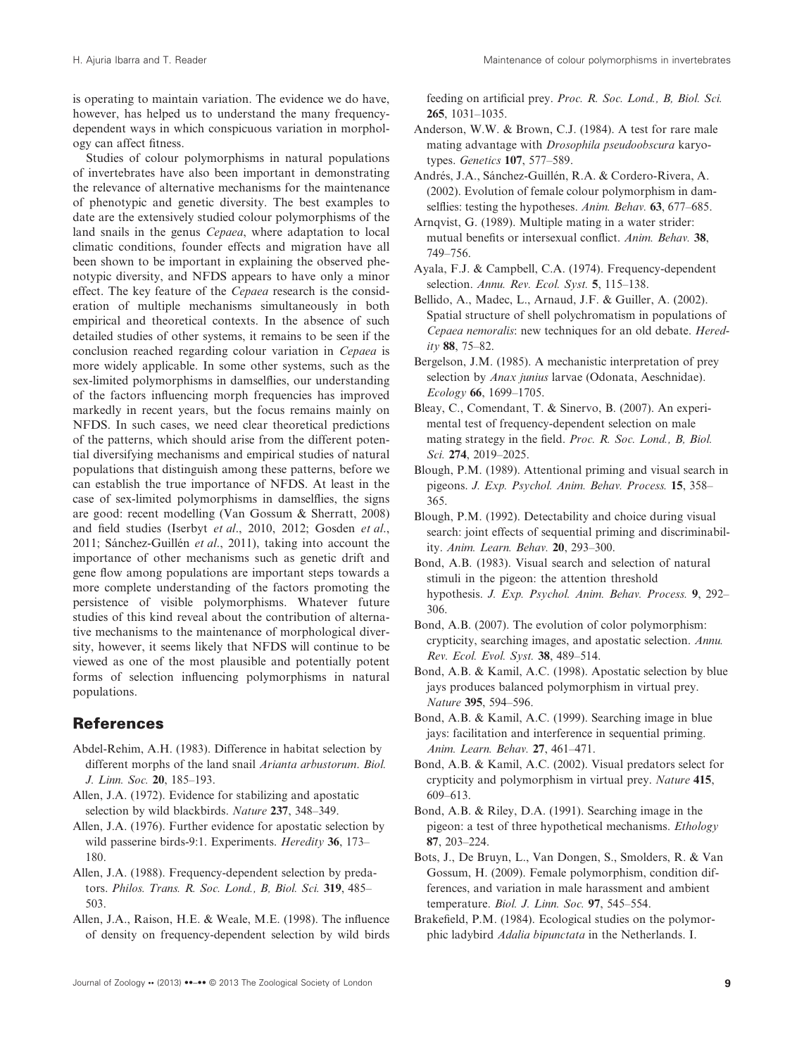is operating to maintain variation. The evidence we do have, however, has helped us to understand the many frequencydependent ways in which conspicuous variation in morphology can affect fitness.

Studies of colour polymorphisms in natural populations of invertebrates have also been important in demonstrating the relevance of alternative mechanisms for the maintenance of phenotypic and genetic diversity. The best examples to date are the extensively studied colour polymorphisms of the land snails in the genus *Cepaea*, where adaptation to local climatic conditions, founder effects and migration have all been shown to be important in explaining the observed phenotypic diversity, and NFDS appears to have only a minor effect. The key feature of the *Cepaea* research is the consideration of multiple mechanisms simultaneously in both empirical and theoretical contexts. In the absence of such detailed studies of other systems, it remains to be seen if the conclusion reached regarding colour variation in *Cepaea* is more widely applicable. In some other systems, such as the sex-limited polymorphisms in damselflies, our understanding of the factors influencing morph frequencies has improved markedly in recent years, but the focus remains mainly on NFDS. In such cases, we need clear theoretical predictions of the patterns, which should arise from the different potential diversifying mechanisms and empirical studies of natural populations that distinguish among these patterns, before we can establish the true importance of NFDS. At least in the case of sex-limited polymorphisms in damselflies, the signs are good: recent modelling (Van Gossum & Sherratt, 2008) and field studies (Iserbyt *et al*., 2010, 2012; Gosden *et al*., 2011; Sánchez-Guillén *et al*., 2011), taking into account the importance of other mechanisms such as genetic drift and gene flow among populations are important steps towards a more complete understanding of the factors promoting the persistence of visible polymorphisms. Whatever future studies of this kind reveal about the contribution of alternative mechanisms to the maintenance of morphological diversity, however, it seems likely that NFDS will continue to be viewed as one of the most plausible and potentially potent forms of selection influencing polymorphisms in natural populations.

## **References**

- Abdel-Rehim, A.H. (1983). Difference in habitat selection by different morphs of the land snail *Arianta arbustorum*. *Biol. J. Linn. Soc.* **20**, 185–193.
- Allen, J.A. (1972). Evidence for stabilizing and apostatic selection by wild blackbirds. *Nature* **237**, 348–349.
- Allen, J.A. (1976). Further evidence for apostatic selection by wild passerine birds-9:1. Experiments. *Heredity* **36**, 173– 180.
- Allen, J.A. (1988). Frequency-dependent selection by predators. *Philos. Trans. R. Soc. Lond., B, Biol. Sci.* **319**, 485– 503.
- Allen, J.A., Raison, H.E. & Weale, M.E. (1998). The influence of density on frequency-dependent selection by wild birds

feeding on artificial prey. *Proc. R. Soc. Lond., B, Biol. Sci.* **265**, 1031–1035.

- Anderson, W.W. & Brown, C.J. (1984). A test for rare male mating advantage with *Drosophila pseudoobscura* karyotypes. *Genetics* **107**, 577–589.
- Andrés, J.A., Sánchez-Guillén, R.A. & Cordero-Rivera, A. (2002). Evolution of female colour polymorphism in damselflies: testing the hypotheses. *Anim. Behav.* **63**, 677–685.
- Arnqvist, G. (1989). Multiple mating in a water strider: mutual benefits or intersexual conflict. *Anim. Behav.* **38**, 749–756.
- Ayala, F.J. & Campbell, C.A. (1974). Frequency-dependent selection. *Annu. Rev. Ecol. Syst.* **5**, 115–138.
- Bellido, A., Madec, L., Arnaud, J.F. & Guiller, A. (2002). Spatial structure of shell polychromatism in populations of *Cepaea nemoralis*: new techniques for an old debate. *Heredity* **88**, 75–82.
- Bergelson, J.M. (1985). A mechanistic interpretation of prey selection by *Anax junius* larvae (Odonata, Aeschnidae). *Ecology* **66**, 1699–1705.
- Bleay, C., Comendant, T. & Sinervo, B. (2007). An experimental test of frequency-dependent selection on male mating strategy in the field. *Proc. R. Soc. Lond., B, Biol. Sci.* **274**, 2019–2025.
- Blough, P.M. (1989). Attentional priming and visual search in pigeons. *J. Exp. Psychol. Anim. Behav. Process.* **15**, 358– 365.
- Blough, P.M. (1992). Detectability and choice during visual search: joint effects of sequential priming and discriminability. *Anim. Learn. Behav.* **20**, 293–300.
- Bond, A.B. (1983). Visual search and selection of natural stimuli in the pigeon: the attention threshold hypothesis. *J. Exp. Psychol. Anim. Behav. Process.* **9**, 292– 306.
- Bond, A.B. (2007). The evolution of color polymorphism: crypticity, searching images, and apostatic selection. *Annu. Rev. Ecol. Evol. Syst.* **38**, 489–514.
- Bond, A.B. & Kamil, A.C. (1998). Apostatic selection by blue jays produces balanced polymorphism in virtual prey. *Nature* **395**, 594–596.
- Bond, A.B. & Kamil, A.C. (1999). Searching image in blue jays: facilitation and interference in sequential priming. *Anim. Learn. Behav.* **27**, 461–471.
- Bond, A.B. & Kamil, A.C. (2002). Visual predators select for crypticity and polymorphism in virtual prey. *Nature* **415**, 609–613.
- Bond, A.B. & Riley, D.A. (1991). Searching image in the pigeon: a test of three hypothetical mechanisms. *Ethology* **87**, 203–224.
- Bots, J., De Bruyn, L., Van Dongen, S., Smolders, R. & Van Gossum, H. (2009). Female polymorphism, condition differences, and variation in male harassment and ambient temperature. *Biol. J. Linn. Soc.* **97**, 545–554.
- Brakefield, P.M. (1984). Ecological studies on the polymorphic ladybird *Adalia bipunctata* in the Netherlands. I.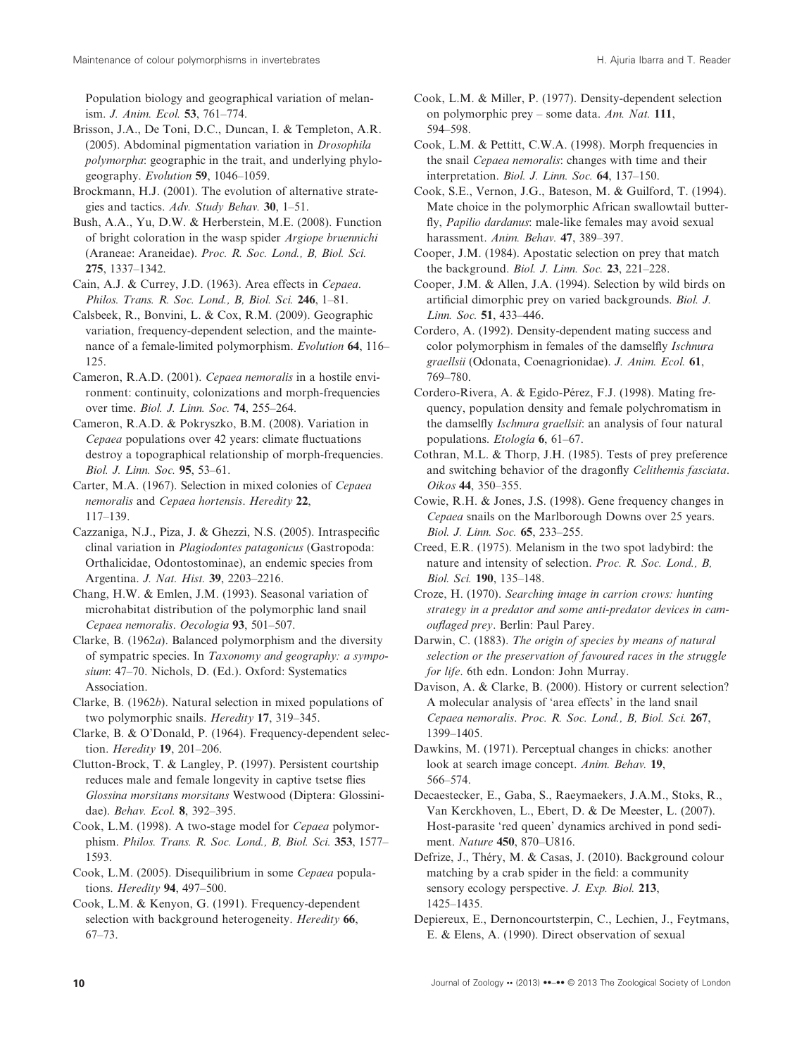Population biology and geographical variation of melanism. *J. Anim. Ecol.* **53**, 761–774.

Brisson, J.A., De Toni, D.C., Duncan, I. & Templeton, A.R. (2005). Abdominal pigmentation variation in *Drosophila polymorpha*: geographic in the trait, and underlying phylogeography. *Evolution* **59**, 1046–1059.

Brockmann, H.J. (2001). The evolution of alternative strategies and tactics. *Adv. Study Behav.* **30**, 1–51.

Bush, A.A., Yu, D.W. & Herberstein, M.E. (2008). Function of bright coloration in the wasp spider *Argiope bruennichi* (Araneae: Araneidae). *Proc. R. Soc. Lond., B, Biol. Sci.* **275**, 1337–1342.

Cain, A.J. & Currey, J.D. (1963). Area effects in *Cepaea*. *Philos. Trans. R. Soc. Lond., B, Biol. Sci.* **246**, 1–81.

Calsbeek, R., Bonvini, L. & Cox, R.M. (2009). Geographic variation, frequency-dependent selection, and the maintenance of a female-limited polymorphism. *Evolution* **64**, 116– 125.

Cameron, R.A.D. (2001). *Cepaea nemoralis* in a hostile environment: continuity, colonizations and morph-frequencies over time. *Biol. J. Linn. Soc.* **74**, 255–264.

Cameron, R.A.D. & Pokryszko, B.M. (2008). Variation in *Cepaea* populations over 42 years: climate fluctuations destroy a topographical relationship of morph-frequencies. *Biol. J. Linn. Soc.* **95**, 53–61.

Carter, M.A. (1967). Selection in mixed colonies of *Cepaea nemoralis* and *Cepaea hortensis*. *Heredity* **22**, 117–139.

Cazzaniga, N.J., Piza, J. & Ghezzi, N.S. (2005). Intraspecific clinal variation in *Plagiodontes patagonicus* (Gastropoda: Orthalicidae, Odontostominae), an endemic species from Argentina. *J. Nat. Hist.* **39**, 2203–2216.

Chang, H.W. & Emlen, J.M. (1993). Seasonal variation of microhabitat distribution of the polymorphic land snail *Cepaea nemoralis*. *Oecologia* **93**, 501–507.

Clarke, B. (1962*a*). Balanced polymorphism and the diversity of sympatric species. In *Taxonomy and geography: a symposium*: 47–70. Nichols, D. (Ed.). Oxford: Systematics Association.

Clarke, B. (1962*b*). Natural selection in mixed populations of two polymorphic snails. *Heredity* **17**, 319–345.

Clarke, B. & O'Donald, P. (1964). Frequency-dependent selection. *Heredity* **19**, 201–206.

Clutton-Brock, T. & Langley, P. (1997). Persistent courtship reduces male and female longevity in captive tsetse flies *Glossina morsitans morsitans* Westwood (Diptera: Glossinidae). *Behav. Ecol.* **8**, 392–395.

Cook, L.M. (1998). A two-stage model for *Cepaea* polymorphism. *Philos. Trans. R. Soc. Lond., B, Biol. Sci.* **353**, 1577– 1593.

Cook, L.M. (2005). Disequilibrium in some *Cepaea* populations. *Heredity* **94**, 497–500.

Cook, L.M. & Kenyon, G. (1991). Frequency-dependent selection with background heterogeneity. *Heredity* **66**, 67–73.

Cook, L.M. & Miller, P. (1977). Density-dependent selection on polymorphic prey – some data. *Am. Nat.* **111**, 594–598.

Cook, L.M. & Pettitt, C.W.A. (1998). Morph frequencies in the snail *Cepaea nemoralis*: changes with time and their interpretation. *Biol. J. Linn. Soc.* **64**, 137–150.

Cook, S.E., Vernon, J.G., Bateson, M. & Guilford, T. (1994). Mate choice in the polymorphic African swallowtail butterfly, *Papilio dardanus*: male-like females may avoid sexual harassment. *Anim. Behav.* **47**, 389–397.

Cooper, J.M. (1984). Apostatic selection on prey that match the background. *Biol. J. Linn. Soc.* **23**, 221–228.

Cooper, J.M. & Allen, J.A. (1994). Selection by wild birds on artificial dimorphic prey on varied backgrounds. *Biol. J. Linn. Soc.* **51**, 433–446.

Cordero, A. (1992). Density-dependent mating success and color polymorphism in females of the damselfly *Ischnura graellsii* (Odonata, Coenagrionidae). *J. Anim. Ecol.* **61**, 769–780.

Cordero-Rivera, A. & Egido-Pérez, F.J. (1998). Mating frequency, population density and female polychromatism in the damselfly *Ischnura graellsii*: an analysis of four natural populations. *Etología* **6**, 61–67.

Cothran, M.L. & Thorp, J.H. (1985). Tests of prey preference and switching behavior of the dragonfly *Celithemis fasciata*. *Oikos* **44**, 350–355.

Cowie, R.H. & Jones, J.S. (1998). Gene frequency changes in *Cepaea* snails on the Marlborough Downs over 25 years. *Biol. J. Linn. Soc.* **65**, 233–255.

Creed, E.R. (1975). Melanism in the two spot ladybird: the nature and intensity of selection. *Proc. R. Soc. Lond., B, Biol. Sci.* **190**, 135–148.

Croze, H. (1970). *Searching image in carrion crows: hunting strategy in a predator and some anti-predator devices in camouflaged prey*. Berlin: Paul Parey.

Darwin, C. (1883). *The origin of species by means of natural selection or the preservation of favoured races in the struggle for life*. 6th edn. London: John Murray.

Davison, A. & Clarke, B. (2000). History or current selection? A molecular analysis of 'area effects' in the land snail *Cepaea nemoralis*. *Proc. R. Soc. Lond., B, Biol. Sci.* **267**, 1399–1405.

Dawkins, M. (1971). Perceptual changes in chicks: another look at search image concept. *Anim. Behav.* **19**, 566–574.

Decaestecker, E., Gaba, S., Raeymaekers, J.A.M., Stoks, R., Van Kerckhoven, L., Ebert, D. & De Meester, L. (2007). Host-parasite 'red queen' dynamics archived in pond sediment. *Nature* **450**, 870–U816.

Defrize, J., Théry, M. & Casas, J. (2010). Background colour matching by a crab spider in the field: a community sensory ecology perspective. *J. Exp. Biol.* **213**, 1425–1435.

Depiereux, E., Dernoncourtsterpin, C., Lechien, J., Feytmans, E. & Elens, A. (1990). Direct observation of sexual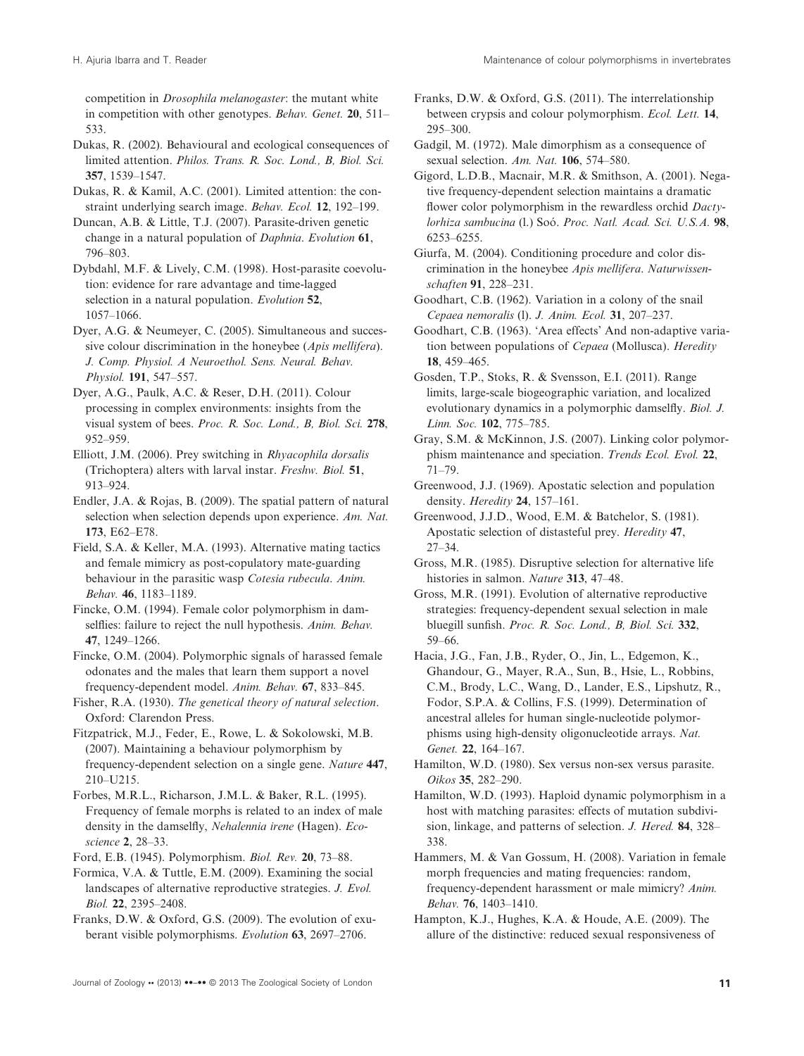competition in *Drosophila melanogaster*: the mutant white in competition with other genotypes. *Behav. Genet.* **20**, 511– 533.

Dukas, R. (2002). Behavioural and ecological consequences of limited attention. *Philos. Trans. R. Soc. Lond., B, Biol. Sci.* **357**, 1539–1547.

Dukas, R. & Kamil, A.C. (2001). Limited attention: the constraint underlying search image. *Behav. Ecol.* **12**, 192–199.

Duncan, A.B. & Little, T.J. (2007). Parasite-driven genetic change in a natural population of *Daphnia*. *Evolution* **61**, 796–803.

Dybdahl, M.F. & Lively, C.M. (1998). Host-parasite coevolution: evidence for rare advantage and time-lagged selection in a natural population. *Evolution* **52**, 1057–1066.

Dyer, A.G. & Neumeyer, C. (2005). Simultaneous and successive colour discrimination in the honeybee (*Apis mellifera*). *J. Comp. Physiol. A Neuroethol. Sens. Neural. Behav. Physiol.* **191**, 547–557.

Dyer, A.G., Paulk, A.C. & Reser, D.H. (2011). Colour processing in complex environments: insights from the visual system of bees. *Proc. R. Soc. Lond., B, Biol. Sci.* **278**, 952–959.

Elliott, J.M. (2006). Prey switching in *Rhyacophila dorsalis* (Trichoptera) alters with larval instar. *Freshw. Biol.* **51**, 913–924.

Endler, J.A. & Rojas, B. (2009). The spatial pattern of natural selection when selection depends upon experience. *Am. Nat.* **173**, E62–E78.

Field, S.A. & Keller, M.A. (1993). Alternative mating tactics and female mimicry as post-copulatory mate-guarding behaviour in the parasitic wasp *Cotesia rubecula*. *Anim. Behav.* **46**, 1183–1189.

Fincke, O.M. (1994). Female color polymorphism in damselflies: failure to reject the null hypothesis. *Anim. Behav.* **47**, 1249–1266.

Fincke, O.M. (2004). Polymorphic signals of harassed female odonates and the males that learn them support a novel frequency-dependent model. *Anim. Behav.* **67**, 833–845.

Fisher, R.A. (1930). *The genetical theory of natural selection*. Oxford: Clarendon Press.

Fitzpatrick, M.J., Feder, E., Rowe, L. & Sokolowski, M.B. (2007). Maintaining a behaviour polymorphism by frequency-dependent selection on a single gene. *Nature* **447**, 210–U215.

Forbes, M.R.L., Richarson, J.M.L. & Baker, R.L. (1995). Frequency of female morphs is related to an index of male density in the damselfly, *Nehalennia irene* (Hagen). *Ecoscience* **2**, 28–33.

Ford, E.B. (1945). Polymorphism. *Biol. Rev.* **20**, 73–88.

Formica, V.A. & Tuttle, E.M. (2009). Examining the social landscapes of alternative reproductive strategies. *J. Evol. Biol.* **22**, 2395–2408.

Franks, D.W. & Oxford, G.S. (2009). The evolution of exuberant visible polymorphisms. *Evolution* **63**, 2697–2706.

Gadgil, M. (1972). Male dimorphism as a consequence of sexual selection. *Am. Nat.* **106**, 574–580.

Gigord, L.D.B., Macnair, M.R. & Smithson, A. (2001). Negative frequency-dependent selection maintains a dramatic flower color polymorphism in the rewardless orchid *Dactylorhiza sambucina* (l.) Soó. *Proc. Natl. Acad. Sci. U.S.A.* **98**, 6253–6255.

Giurfa, M. (2004). Conditioning procedure and color discrimination in the honeybee *Apis mellifera*. *Naturwissenschaften* **91**, 228–231.

Goodhart, C.B. (1962). Variation in a colony of the snail *Cepaea nemoralis* (l). *J. Anim. Ecol.* **31**, 207–237.

Goodhart, C.B. (1963). 'Area effects' And non-adaptive variation between populations of *Cepaea* (Mollusca). *Heredity* **18**, 459–465.

Gosden, T.P., Stoks, R. & Svensson, E.I. (2011). Range limits, large-scale biogeographic variation, and localized evolutionary dynamics in a polymorphic damselfly. *Biol. J. Linn. Soc.* **102**, 775–785.

Gray, S.M. & McKinnon, J.S. (2007). Linking color polymorphism maintenance and speciation. *Trends Ecol. Evol.* **22**, 71–79.

Greenwood, J.J. (1969). Apostatic selection and population density. *Heredity* **24**, 157–161.

Greenwood, J.J.D., Wood, E.M. & Batchelor, S. (1981). Apostatic selection of distasteful prey. *Heredity* **47**, 27–34.

Gross, M.R. (1985). Disruptive selection for alternative life histories in salmon. *Nature* **313**, 47–48.

Gross, M.R. (1991). Evolution of alternative reproductive strategies: frequency-dependent sexual selection in male bluegill sunfish. *Proc. R. Soc. Lond., B, Biol. Sci.* **332**, 59–66.

Hacia, J.G., Fan, J.B., Ryder, O., Jin, L., Edgemon, K., Ghandour, G., Mayer, R.A., Sun, B., Hsie, L., Robbins, C.M., Brody, L.C., Wang, D., Lander, E.S., Lipshutz, R., Fodor, S.P.A. & Collins, F.S. (1999). Determination of ancestral alleles for human single-nucleotide polymorphisms using high-density oligonucleotide arrays. *Nat. Genet.* **22**, 164–167.

Hamilton, W.D. (1980). Sex versus non-sex versus parasite. *Oikos* **35**, 282–290.

Hamilton, W.D. (1993). Haploid dynamic polymorphism in a host with matching parasites: effects of mutation subdivision, linkage, and patterns of selection. *J. Hered.* **84**, 328– 338.

Hammers, M. & Van Gossum, H. (2008). Variation in female morph frequencies and mating frequencies: random, frequency-dependent harassment or male mimicry? *Anim. Behav.* **76**, 1403–1410.

Hampton, K.J., Hughes, K.A. & Houde, A.E. (2009). The allure of the distinctive: reduced sexual responsiveness of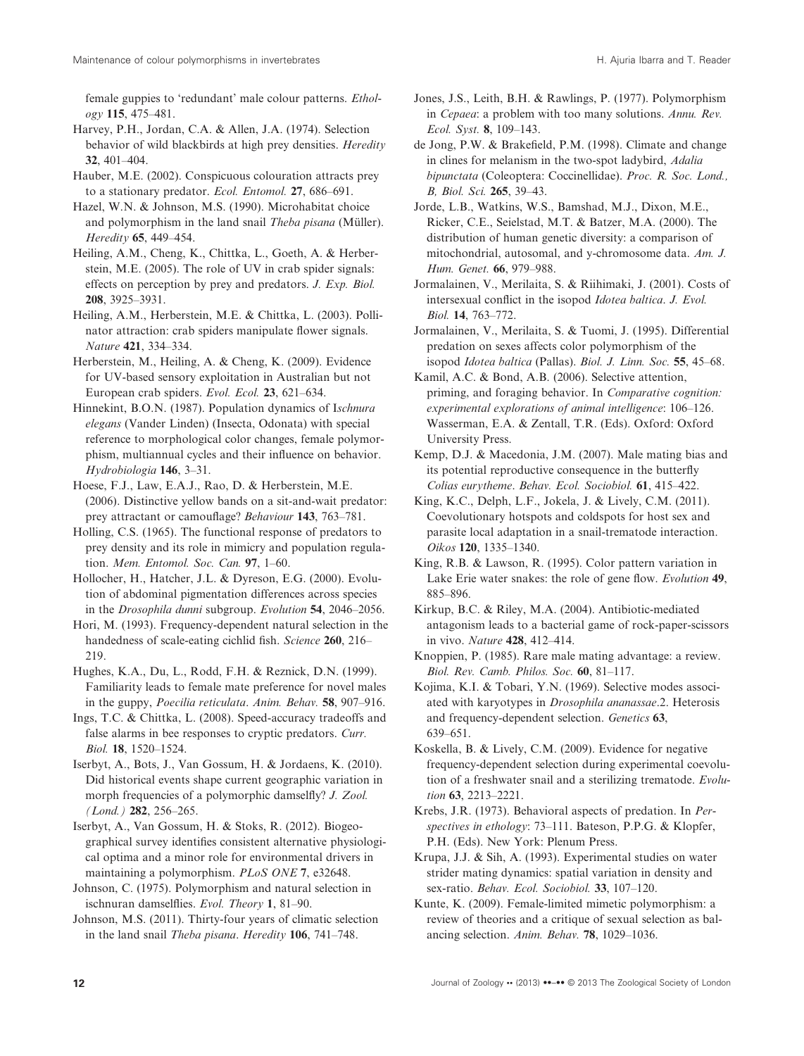female guppies to 'redundant' male colour patterns. *Ethology* **115**, 475–481.

Harvey, P.H., Jordan, C.A. & Allen, J.A. (1974). Selection behavior of wild blackbirds at high prey densities. *Heredity* **32**, 401–404.

Hauber, M.E. (2002). Conspicuous colouration attracts prey to a stationary predator. *Ecol. Entomol.* **27**, 686–691.

Hazel, W.N. & Johnson, M.S. (1990). Microhabitat choice and polymorphism in the land snail *Theba pisana* (Müller). *Heredity* **65**, 449–454.

Heiling, A.M., Cheng, K., Chittka, L., Goeth, A. & Herberstein, M.E. (2005). The role of UV in crab spider signals: effects on perception by prey and predators. *J. Exp. Biol.* **208**, 3925–3931.

Heiling, A.M., Herberstein, M.E. & Chittka, L. (2003). Pollinator attraction: crab spiders manipulate flower signals. *Nature* **421**, 334–334.

Herberstein, M., Heiling, A. & Cheng, K. (2009). Evidence for UV-based sensory exploitation in Australian but not European crab spiders. *Evol. Ecol.* **23**, 621–634.

Hinnekint, B.O.N. (1987). Population dynamics of I*schnura elegans* (Vander Linden) (Insecta, Odonata) with special reference to morphological color changes, female polymorphism, multiannual cycles and their influence on behavior. *Hydrobiologia* **146**, 3–31.

Hoese, F.J., Law, E.A.J., Rao, D. & Herberstein, M.E. (2006). Distinctive yellow bands on a sit-and-wait predator: prey attractant or camouflage? *Behaviour* **143**, 763–781.

Holling, C.S. (1965). The functional response of predators to prey density and its role in mimicry and population regulation. *Mem. Entomol. Soc. Can.* **97**, 1–60.

Hollocher, H., Hatcher, J.L. & Dyreson, E.G. (2000). Evolution of abdominal pigmentation differences across species in the *Drosophila dunni* subgroup. *Evolution* **54**, 2046–2056.

Hori, M. (1993). Frequency-dependent natural selection in the handedness of scale-eating cichlid fish. *Science* **260**, 216– 219.

Hughes, K.A., Du, L., Rodd, F.H. & Reznick, D.N. (1999). Familiarity leads to female mate preference for novel males in the guppy, *Poecilia reticulata*. *Anim. Behav.* **58**, 907–916.

Ings, T.C. & Chittka, L. (2008). Speed-accuracy tradeoffs and false alarms in bee responses to cryptic predators. *Curr. Biol.* **18**, 1520–1524.

Iserbyt, A., Bots, J., Van Gossum, H. & Jordaens, K. (2010). Did historical events shape current geographic variation in morph frequencies of a polymorphic damselfly? *J. Zool. (Lond.)* **282**, 256–265.

Iserbyt, A., Van Gossum, H. & Stoks, R. (2012). Biogeographical survey identifies consistent alternative physiological optima and a minor role for environmental drivers in maintaining a polymorphism. *PLoS ONE* **7**, e32648.

Johnson, C. (1975). Polymorphism and natural selection in ischnuran damselflies. *Evol. Theory* **1**, 81–90.

Johnson, M.S. (2011). Thirty-four years of climatic selection in the land snail *Theba pisana*. *Heredity* **106**, 741–748.

Jones, J.S., Leith, B.H. & Rawlings, P. (1977). Polymorphism in *Cepaea*: a problem with too many solutions. *Annu. Rev. Ecol. Syst.* **8**, 109–143.

de Jong, P.W. & Brakefield, P.M. (1998). Climate and change in clines for melanism in the two-spot ladybird, *Adalia bipunctata* (Coleoptera: Coccinellidae). *Proc. R. Soc. Lond., B, Biol. Sci.* **265**, 39–43.

Jorde, L.B., Watkins, W.S., Bamshad, M.J., Dixon, M.E., Ricker, C.E., Seielstad, M.T. & Batzer, M.A. (2000). The distribution of human genetic diversity: a comparison of mitochondrial, autosomal, and y-chromosome data. *Am. J. Hum. Genet.* **66**, 979–988.

Jormalainen, V., Merilaita, S. & Riihimaki, J. (2001). Costs of intersexual conflict in the isopod *Idotea baltica*. *J. Evol. Biol.* **14**, 763–772.

Jormalainen, V., Merilaita, S. & Tuomi, J. (1995). Differential predation on sexes affects color polymorphism of the isopod *Idotea baltica* (Pallas). *Biol. J. Linn. Soc.* **55**, 45–68.

Kamil, A.C. & Bond, A.B. (2006). Selective attention, priming, and foraging behavior. In *Comparative cognition: experimental explorations of animal intelligence*: 106–126. Wasserman, E.A. & Zentall, T.R. (Eds). Oxford: Oxford University Press.

Kemp, D.J. & Macedonia, J.M. (2007). Male mating bias and its potential reproductive consequence in the butterfly *Colias eurytheme*. *Behav. Ecol. Sociobiol.* **61**, 415–422.

King, K.C., Delph, L.F., Jokela, J. & Lively, C.M. (2011). Coevolutionary hotspots and coldspots for host sex and parasite local adaptation in a snail-trematode interaction. *Oikos* **120**, 1335–1340.

King, R.B. & Lawson, R. (1995). Color pattern variation in Lake Erie water snakes: the role of gene flow. *Evolution* **49**, 885–896.

Kirkup, B.C. & Riley, M.A. (2004). Antibiotic-mediated antagonism leads to a bacterial game of rock-paper-scissors in vivo. *Nature* **428**, 412–414.

Knoppien, P. (1985). Rare male mating advantage: a review. *Biol. Rev. Camb. Philos. Soc.* **60**, 81–117.

Kojima, K.I. & Tobari, Y.N. (1969). Selective modes associated with karyotypes in *Drosophila ananassae*.2. Heterosis and frequency-dependent selection. *Genetics* **63**, 639–651.

Koskella, B. & Lively, C.M. (2009). Evidence for negative frequency-dependent selection during experimental coevolution of a freshwater snail and a sterilizing trematode. *Evolution* **63**, 2213–2221.

Krebs, J.R. (1973). Behavioral aspects of predation. In *Perspectives in ethology*: 73–111. Bateson, P.P.G. & Klopfer, P.H. (Eds). New York: Plenum Press.

Krupa, J.J. & Sih, A. (1993). Experimental studies on water strider mating dynamics: spatial variation in density and sex-ratio. *Behav. Ecol. Sociobiol.* **33**, 107–120.

Kunte, K. (2009). Female-limited mimetic polymorphism: a review of theories and a critique of sexual selection as balancing selection. *Anim. Behav.* **78**, 1029–1036.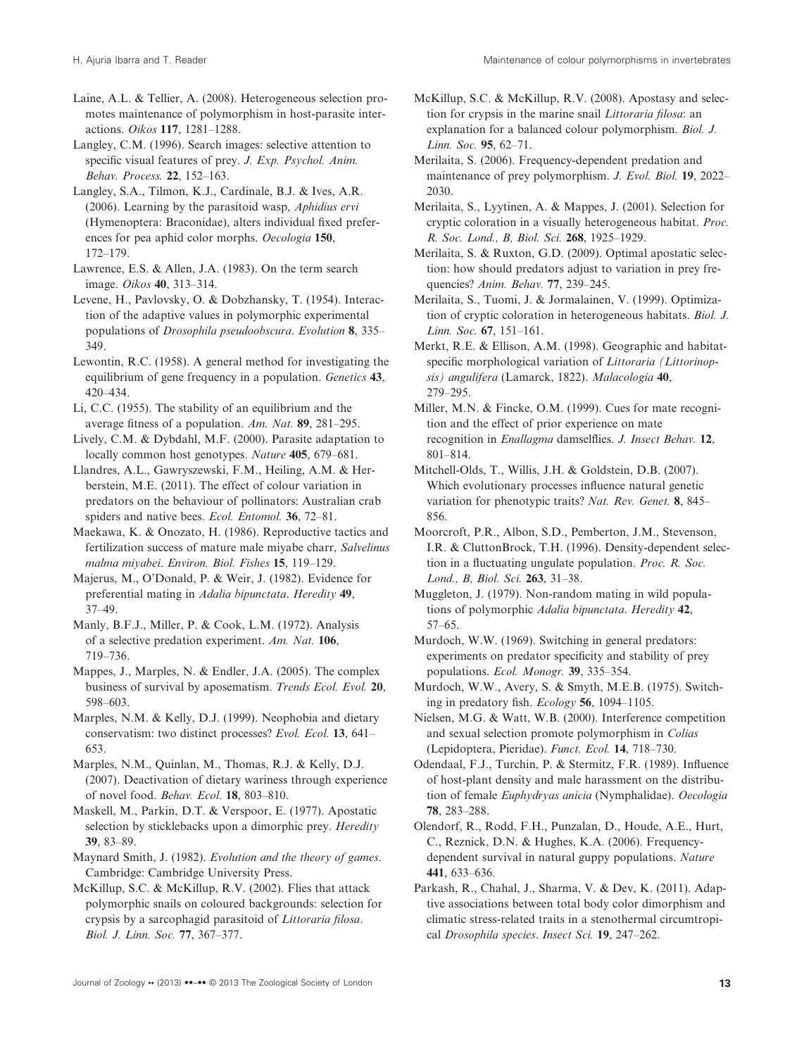Laine, A.L. & Tellier, A. (2008). Heterogeneous selection promotes maintenance of polymorphism in host-parasite interactions. *Oikos* **117**, 1281–1288.

Langley, C.M. (1996). Search images: selective attention to specific visual features of prey. *J. Exp. Psychol. Anim. Behav. Process.* **22**, 152–163.

Langley, S.A., Tilmon, K.J., Cardinale, B.J. & Ives, A.R. (2006). Learning by the parasitoid wasp, *Aphidius ervi* (Hymenoptera: Braconidae), alters individual fixed preferences for pea aphid color morphs. *Oecologia* **150**, 172–179.

Lawrence, E.S. & Allen, J.A. (1983). On the term search image. *Oikos* **40**, 313–314.

Levene, H., Pavlovsky, O. & Dobzhansky, T. (1954). Interaction of the adaptive values in polymorphic experimental populations of *Drosophila pseudoobscura*. *Evolution* **8**, 335– 349.

Lewontin, R.C. (1958). A general method for investigating the equilibrium of gene frequency in a population. *Genetics* **43**, 420–434.

Li, C.C. (1955). The stability of an equilibrium and the average fitness of a population. *Am. Nat.* **89**, 281–295.

Lively, C.M. & Dybdahl, M.F. (2000). Parasite adaptation to locally common host genotypes. *Nature* **405**, 679–681.

Llandres, A.L., Gawryszewski, F.M., Heiling, A.M. & Herberstein, M.E. (2011). The effect of colour variation in predators on the behaviour of pollinators: Australian crab spiders and native bees. *Ecol. Entomol.* **36**, 72–81.

Maekawa, K. & Onozato, H. (1986). Reproductive tactics and fertilization success of mature male miyabe charr, *Salvelinus malma miyabei*. *Environ. Biol. Fishes* **15**, 119–129.

Majerus, M., O'Donald, P. & Weir, J. (1982). Evidence for preferential mating in *Adalia bipunctata*. *Heredity* **49**, 37–49.

Manly, B.F.J., Miller, P. & Cook, L.M. (1972). Analysis of a selective predation experiment. *Am. Nat.* **106**, 719–736.

Mappes, J., Marples, N. & Endler, J.A. (2005). The complex business of survival by aposematism. *Trends Ecol. Evol.* **20**, 598–603.

Marples, N.M. & Kelly, D.J. (1999). Neophobia and dietary conservatism: two distinct processes? *Evol. Ecol.* **13**, 641– 653.

Marples, N.M., Quinlan, M., Thomas, R.J. & Kelly, D.J. (2007). Deactivation of dietary wariness through experience of novel food. *Behav. Ecol.* **18**, 803–810.

Maskell, M., Parkin, D.T. & Verspoor, E. (1977). Apostatic selection by sticklebacks upon a dimorphic prey. *Heredity* **39**, 83–89.

Maynard Smith, J. (1982). *Evolution and the theory of games*. Cambridge: Cambridge University Press.

McKillup, S.C. & McKillup, R.V. (2002). Flies that attack polymorphic snails on coloured backgrounds: selection for crypsis by a sarcophagid parasitoid of *Littoraria filosa*. *Biol. J. Linn. Soc.* **77**, 367–377.

McKillup, S.C. & McKillup, R.V. (2008). Apostasy and selection for crypsis in the marine snail *Littoraria filosa*: an explanation for a balanced colour polymorphism. *Biol. J. Linn. Soc.* **95**, 62–71.

Merilaita, S. (2006). Frequency-dependent predation and maintenance of prey polymorphism. *J. Evol. Biol.* **19**, 2022– 2030.

Merilaita, S., Lyytinen, A. & Mappes, J. (2001). Selection for cryptic coloration in a visually heterogeneous habitat. *Proc. R. Soc. Lond., B, Biol. Sci.* **268**, 1925–1929.

Merilaita, S. & Ruxton, G.D. (2009). Optimal apostatic selection: how should predators adjust to variation in prey frequencies? *Anim. Behav.* **77**, 239–245.

Merilaita, S., Tuomi, J. & Jormalainen, V. (1999). Optimization of cryptic coloration in heterogeneous habitats. *Biol. J. Linn. Soc.* **67**, 151–161.

Merkt, R.E. & Ellison, A.M. (1998). Geographic and habitatspecific morphological variation of *Littoraria (Littorinopsis) angulifera* (Lamarck, 1822). *Malacologia* **40**, 279–295.

Miller, M.N. & Fincke, O.M. (1999). Cues for mate recognition and the effect of prior experience on mate recognition in *Enallagma* damselflies. *J. Insect Behav.* **12**, 801–814.

Mitchell-Olds, T., Willis, J.H. & Goldstein, D.B. (2007). Which evolutionary processes influence natural genetic variation for phenotypic traits? *Nat. Rev. Genet.* **8**, 845– 856.

Moorcroft, P.R., Albon, S.D., Pemberton, J.M., Stevenson, I.R. & CluttonBrock, T.H. (1996). Density-dependent selection in a fluctuating ungulate population. *Proc. R. Soc. Lond., B, Biol. Sci.* **263**, 31–38.

Muggleton, J. (1979). Non-random mating in wild populations of polymorphic *Adalia bipunctata*. *Heredity* **42**, 57–65.

Murdoch, W.W. (1969). Switching in general predators: experiments on predator specificity and stability of prey populations. *Ecol. Monogr.* **39**, 335–354.

Murdoch, W.W., Avery, S. & Smyth, M.E.B. (1975). Switching in predatory fish. *Ecology* **56**, 1094–1105.

Nielsen, M.G. & Watt, W.B. (2000). Interference competition and sexual selection promote polymorphism in *Colias* (Lepidoptera, Pieridae). *Funct. Ecol.* **14**, 718–730.

Odendaal, F.J., Turchin, P. & Stermitz, F.R. (1989). Influence of host-plant density and male harassment on the distribution of female *Euphydryas anicia* (Nymphalidae). *Oecologia* **78**, 283–288.

Olendorf, R., Rodd, F.H., Punzalan, D., Houde, A.E., Hurt, C., Reznick, D.N. & Hughes, K.A. (2006). Frequencydependent survival in natural guppy populations. *Nature* **441**, 633–636.

Parkash, R., Chahal, J., Sharma, V. & Dev, K. (2011). Adaptive associations between total body color dimorphism and climatic stress-related traits in a stenothermal circumtropical *Drosophila species*. *Insect Sci.* **19**, 247–262.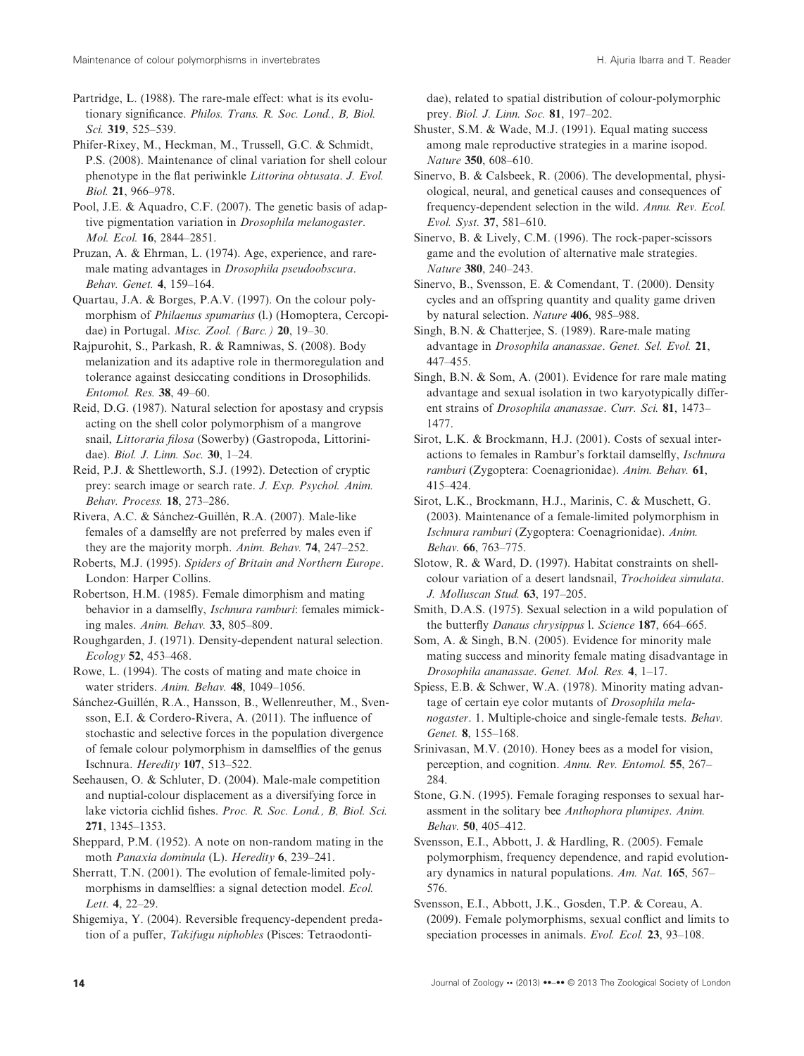Partridge, L. (1988). The rare-male effect: what is its evolutionary significance. *Philos. Trans. R. Soc. Lond., B, Biol. Sci.* **319**, 525–539.

Phifer-Rixey, M., Heckman, M., Trussell, G.C. & Schmidt, P.S. (2008). Maintenance of clinal variation for shell colour phenotype in the flat periwinkle *Littorina obtusata*. *J. Evol. Biol.* **21**, 966–978.

Pool, J.E. & Aquadro, C.F. (2007). The genetic basis of adaptive pigmentation variation in *Drosophila melanogaster*. *Mol. Ecol.* **16**, 2844–2851.

Pruzan, A. & Ehrman, L. (1974). Age, experience, and raremale mating advantages in *Drosophila pseudoobscura*. *Behav. Genet.* **4**, 159–164.

Quartau, J.A. & Borges, P.A.V. (1997). On the colour polymorphism of *Philaenus spumarius* (l.) (Homoptera, Cercopidae) in Portugal. *Misc. Zool. (Barc.)* **20**, 19–30.

Rajpurohit, S., Parkash, R. & Ramniwas, S. (2008). Body melanization and its adaptive role in thermoregulation and tolerance against desiccating conditions in Drosophilids. *Entomol. Res.* **38**, 49–60.

Reid, D.G. (1987). Natural selection for apostasy and crypsis acting on the shell color polymorphism of a mangrove snail, *Littoraria filosa* (Sowerby) (Gastropoda, Littorinidae). *Biol. J. Linn. Soc.* **30**, 1–24.

Reid, P.J. & Shettleworth, S.J. (1992). Detection of cryptic prey: search image or search rate. *J. Exp. Psychol. Anim. Behav. Process.* **18**, 273–286.

Rivera, A.C. & Sánchez-Guillén, R.A. (2007). Male-like females of a damselfly are not preferred by males even if they are the majority morph. *Anim. Behav.* **74**, 247–252.

Roberts, M.J. (1995). *Spiders of Britain and Northern Europe*. London: Harper Collins.

Robertson, H.M. (1985). Female dimorphism and mating behavior in a damselfly, *Ischnura ramburi*: females mimicking males. *Anim. Behav.* **33**, 805–809.

Roughgarden, J. (1971). Density-dependent natural selection. *Ecology* **52**, 453–468.

Rowe, L. (1994). The costs of mating and mate choice in water striders. *Anim. Behav.* **48**, 1049–1056.

Sánchez-Guillén, R.A., Hansson, B., Wellenreuther, M., Svensson, E.I. & Cordero-Rivera, A. (2011). The influence of stochastic and selective forces in the population divergence of female colour polymorphism in damselflies of the genus Ischnura. *Heredity* **107**, 513–522.

Seehausen, O. & Schluter, D. (2004). Male-male competition and nuptial-colour displacement as a diversifying force in lake victoria cichlid fishes. *Proc. R. Soc. Lond., B, Biol. Sci.* **271**, 1345–1353.

Sheppard, P.M. (1952). A note on non-random mating in the moth *Panaxia dominula* (L). *Heredity* **6**, 239–241.

Sherratt, T.N. (2001). The evolution of female-limited polymorphisms in damselflies: a signal detection model. *Ecol. Lett.* **4**, 22–29.

Shigemiya, Y. (2004). Reversible frequency-dependent predation of a puffer, *Takifugu niphobles* (Pisces: Tetraodontidae), related to spatial distribution of colour-polymorphic prey. *Biol. J. Linn. Soc.* **81**, 197–202.

Shuster, S.M. & Wade, M.J. (1991). Equal mating success among male reproductive strategies in a marine isopod. *Nature* **350**, 608–610.

Sinervo, B. & Calsbeek, R. (2006). The developmental, physiological, neural, and genetical causes and consequences of frequency-dependent selection in the wild. *Annu. Rev. Ecol. Evol. Syst.* **37**, 581–610.

Sinervo, B. & Lively, C.M. (1996). The rock-paper-scissors game and the evolution of alternative male strategies. *Nature* **380**, 240–243.

Sinervo, B., Svensson, E. & Comendant, T. (2000). Density cycles and an offspring quantity and quality game driven by natural selection. *Nature* **406**, 985–988.

Singh, B.N. & Chatterjee, S. (1989). Rare-male mating advantage in *Drosophila ananassae*. *Genet. Sel. Evol.* **21**, 447–455.

Singh, B.N. & Som, A. (2001). Evidence for rare male mating advantage and sexual isolation in two karyotypically different strains of *Drosophila ananassae*. *Curr. Sci.* **81**, 1473– 1477.

Sirot, L.K. & Brockmann, H.J. (2001). Costs of sexual interactions to females in Rambur's forktail damselfly, *Ischnura ramburi* (Zygoptera: Coenagrionidae). *Anim. Behav.* **61**, 415–424.

Sirot, L.K., Brockmann, H.J., Marinis, C. & Muschett, G. (2003). Maintenance of a female-limited polymorphism in *Ischnura ramburi* (Zygoptera: Coenagrionidae). *Anim. Behav.* **66**, 763–775.

Slotow, R. & Ward, D. (1997). Habitat constraints on shellcolour variation of a desert landsnail, *Trochoidea simulata*. *J. Molluscan Stud.* **63**, 197–205.

Smith, D.A.S. (1975). Sexual selection in a wild population of the butterfly *Danaus chrysippus* l. *Science* **187**, 664–665.

Som, A. & Singh, B.N. (2005). Evidence for minority male mating success and minority female mating disadvantage in *Drosophila ananassae*. *Genet. Mol. Res.* **4**, 1–17.

Spiess, E.B. & Schwer, W.A. (1978). Minority mating advantage of certain eye color mutants of *Drosophila melanogaster*. 1. Multiple-choice and single-female tests. *Behav. Genet.* **8**, 155–168.

Srinivasan, M.V. (2010). Honey bees as a model for vision, perception, and cognition. *Annu. Rev. Entomol.* **55**, 267– 284.

Stone, G.N. (1995). Female foraging responses to sexual harassment in the solitary bee *Anthophora plumipes*. *Anim. Behav.* **50**, 405–412.

Svensson, E.I., Abbott, J. & Hardling, R. (2005). Female polymorphism, frequency dependence, and rapid evolutionary dynamics in natural populations. *Am. Nat.* **165**, 567– 576.

Svensson, E.I., Abbott, J.K., Gosden, T.P. & Coreau, A. (2009). Female polymorphisms, sexual conflict and limits to speciation processes in animals. *Evol. Ecol.* **23**, 93–108.